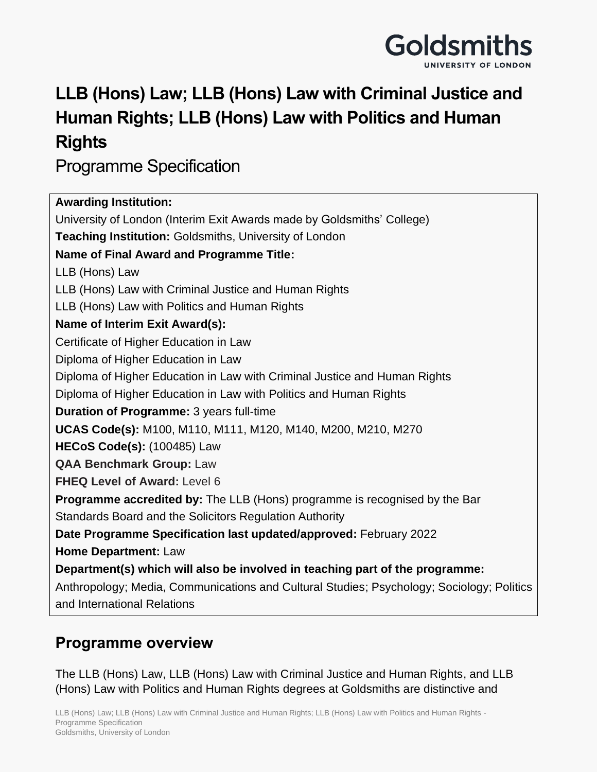

# **LLB (Hons) Law; LLB (Hons) Law with Criminal Justice and Human Rights; LLB (Hons) Law with Politics and Human Rights**

Programme Specification

| <b>Awarding Institution:</b>                                                                                             |
|--------------------------------------------------------------------------------------------------------------------------|
| University of London (Interim Exit Awards made by Goldsmiths' College)                                                   |
| Teaching Institution: Goldsmiths, University of London                                                                   |
| <b>Name of Final Award and Programme Title:</b>                                                                          |
| LLB (Hons) Law                                                                                                           |
| LLB (Hons) Law with Criminal Justice and Human Rights                                                                    |
| LLB (Hons) Law with Politics and Human Rights                                                                            |
| Name of Interim Exit Award(s):                                                                                           |
| Certificate of Higher Education in Law                                                                                   |
| Diploma of Higher Education in Law                                                                                       |
| Diploma of Higher Education in Law with Criminal Justice and Human Rights                                                |
| Diploma of Higher Education in Law with Politics and Human Rights                                                        |
| Duration of Programme: 3 years full-time                                                                                 |
| UCAS Code(s): M100, M110, M111, M120, M140, M200, M210, M270                                                             |
| <b>HECoS Code(s): (100485) Law</b>                                                                                       |
| <b>QAA Benchmark Group: Law</b>                                                                                          |
| <b>FHEQ Level of Award: Level 6</b>                                                                                      |
| <b>Programme accredited by:</b> The LLB (Hons) programme is recognised by the Bar                                        |
| Standards Board and the Solicitors Regulation Authority                                                                  |
| Date Programme Specification last updated/approved: February 2022                                                        |
| Home Department: Law                                                                                                     |
| Department(s) which will also be involved in teaching part of the programme:                                             |
| Anthropology; Media, Communications and Cultural Studies; Psychology; Sociology; Politics<br>and International Relations |

# **Programme overview**

The LLB (Hons) Law, LLB (Hons) Law with Criminal Justice and Human Rights, and LLB (Hons) Law with Politics and Human Rights degrees at Goldsmiths are distinctive and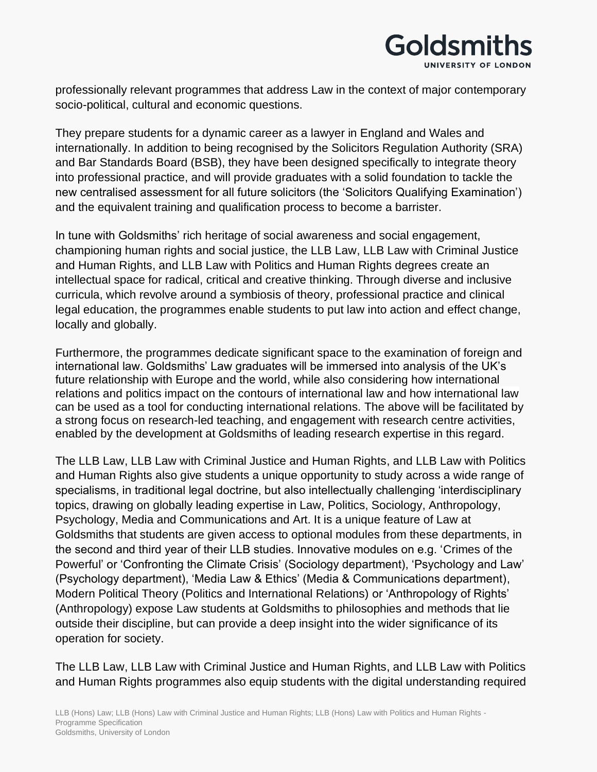

professionally relevant programmes that address Law in the context of major contemporary socio-political, cultural and economic questions.

They prepare students for a dynamic career as a lawyer in England and Wales and internationally. In addition to being recognised by the Solicitors Regulation Authority (SRA) and Bar Standards Board (BSB), they have been designed specifically to integrate theory into professional practice, and will provide graduates with a solid foundation to tackle the new centralised assessment for all future solicitors (the 'Solicitors Qualifying Examination') and the equivalent training and qualification process to become a barrister.

In tune with Goldsmiths' rich heritage of social awareness and social engagement, championing human rights and social justice, the LLB Law, LLB Law with Criminal Justice and Human Rights, and LLB Law with Politics and Human Rights degrees create an intellectual space for radical, critical and creative thinking. Through diverse and inclusive curricula, which revolve around a symbiosis of theory, professional practice and clinical legal education, the programmes enable students to put law into action and effect change, locally and globally.

Furthermore, the programmes dedicate significant space to the examination of foreign and international law. Goldsmiths' Law graduates will be immersed into analysis of the UK's future relationship with Europe and the world, while also considering how international relations and politics impact on the contours of international law and how international law can be used as a tool for conducting international relations. The above will be facilitated by a strong focus on research-led teaching, and engagement with research centre activities, enabled by the development at Goldsmiths of leading research expertise in this regard.

The LLB Law, LLB Law with Criminal Justice and Human Rights, and LLB Law with Politics and Human Rights also give students a unique opportunity to study across a wide range of specialisms, in traditional legal doctrine, but also intellectually challenging 'interdisciplinary topics, drawing on globally leading expertise in Law, Politics, Sociology, Anthropology, Psychology, Media and Communications and Art. It is a unique feature of Law at Goldsmiths that students are given access to optional modules from these departments, in the second and third year of their LLB studies. Innovative modules on e.g. 'Crimes of the Powerful' or 'Confronting the Climate Crisis' (Sociology department), 'Psychology and Law' (Psychology department), 'Media Law & Ethics' (Media & Communications department), Modern Political Theory (Politics and International Relations) or 'Anthropology of Rights' (Anthropology) expose Law students at Goldsmiths to philosophies and methods that lie outside their discipline, but can provide a deep insight into the wider significance of its operation for society.

The LLB Law, LLB Law with Criminal Justice and Human Rights, and LLB Law with Politics and Human Rights programmes also equip students with the digital understanding required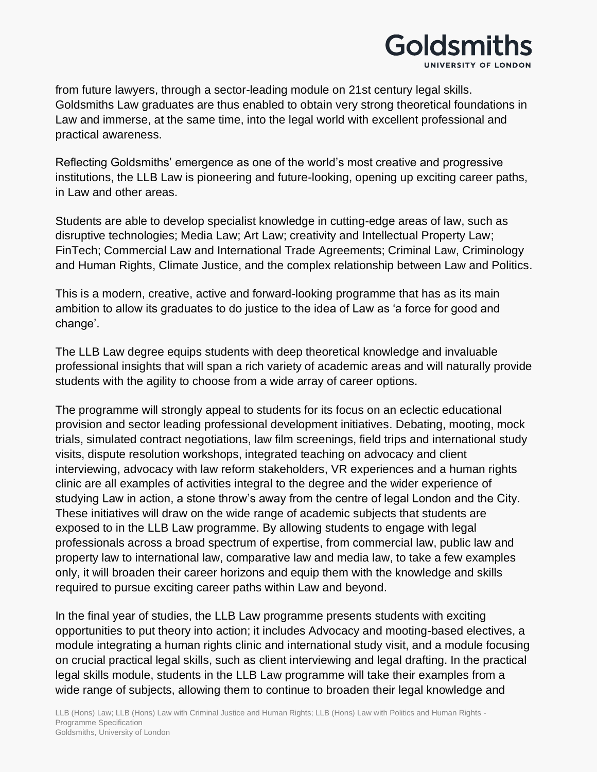

from future lawyers, through a sector-leading module on 21st century legal skills. Goldsmiths Law graduates are thus enabled to obtain very strong theoretical foundations in Law and immerse, at the same time, into the legal world with excellent professional and practical awareness.

Reflecting Goldsmiths' emergence as one of the world's most creative and progressive institutions, the LLB Law is pioneering and future-looking, opening up exciting career paths, in Law and other areas.

Students are able to develop specialist knowledge in cutting-edge areas of law, such as disruptive technologies; Media Law; Art Law; creativity and Intellectual Property Law; FinTech; Commercial Law and International Trade Agreements; Criminal Law, Criminology and Human Rights, Climate Justice, and the complex relationship between Law and Politics.

This is a modern, creative, active and forward-looking programme that has as its main ambition to allow its graduates to do justice to the idea of Law as 'a force for good and change'.

The LLB Law degree equips students with deep theoretical knowledge and invaluable professional insights that will span a rich variety of academic areas and will naturally provide students with the agility to choose from a wide array of career options.

The programme will strongly appeal to students for its focus on an eclectic educational provision and sector leading professional development initiatives. Debating, mooting, mock trials, simulated contract negotiations, law film screenings, field trips and international study visits, dispute resolution workshops, integrated teaching on advocacy and client interviewing, advocacy with law reform stakeholders, VR experiences and a human rights clinic are all examples of activities integral to the degree and the wider experience of studying Law in action, a stone throw's away from the centre of legal London and the City. These initiatives will draw on the wide range of academic subjects that students are exposed to in the LLB Law programme. By allowing students to engage with legal professionals across a broad spectrum of expertise, from commercial law, public law and property law to international law, comparative law and media law, to take a few examples only, it will broaden their career horizons and equip them with the knowledge and skills required to pursue exciting career paths within Law and beyond.

In the final year of studies, the LLB Law programme presents students with exciting opportunities to put theory into action; it includes Advocacy and mooting-based electives, a module integrating a human rights clinic and international study visit, and a module focusing on crucial practical legal skills, such as client interviewing and legal drafting. In the practical legal skills module, students in the LLB Law programme will take their examples from a wide range of subjects, allowing them to continue to broaden their legal knowledge and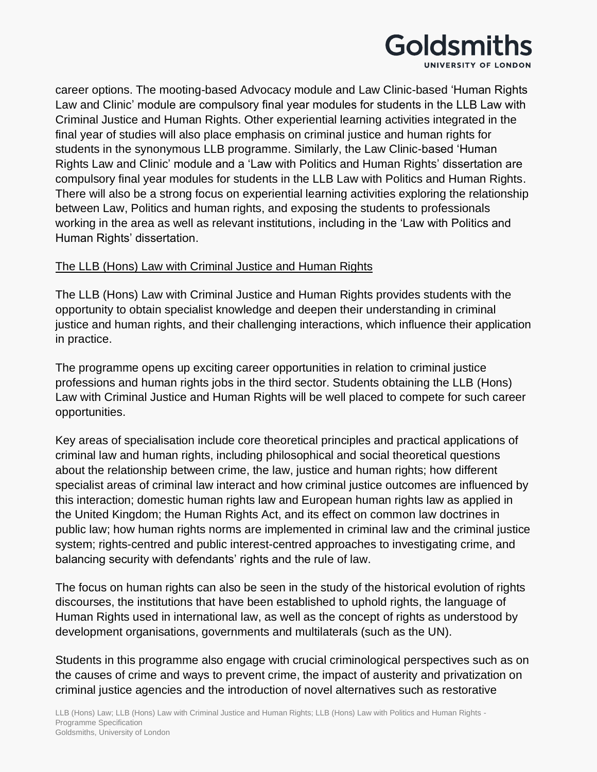

career options. The mooting-based Advocacy module and Law Clinic-based 'Human Rights Law and Clinic' module are compulsory final year modules for students in the LLB Law with Criminal Justice and Human Rights. Other experiential learning activities integrated in the final year of studies will also place emphasis on criminal justice and human rights for students in the synonymous LLB programme. Similarly, the Law Clinic-based 'Human Rights Law and Clinic' module and a 'Law with Politics and Human Rights' dissertation are compulsory final year modules for students in the LLB Law with Politics and Human Rights. There will also be a strong focus on experiential learning activities exploring the relationship between Law, Politics and human rights, and exposing the students to professionals working in the area as well as relevant institutions, including in the 'Law with Politics and Human Rights' dissertation.

#### The LLB (Hons) Law with Criminal Justice and Human Rights

The LLB (Hons) Law with Criminal Justice and Human Rights provides students with the opportunity to obtain specialist knowledge and deepen their understanding in criminal justice and human rights, and their challenging interactions, which influence their application in practice.

The programme opens up exciting career opportunities in relation to criminal justice professions and human rights jobs in the third sector. Students obtaining the LLB (Hons) Law with Criminal Justice and Human Rights will be well placed to compete for such career opportunities.

Key areas of specialisation include core theoretical principles and practical applications of criminal law and human rights, including philosophical and social theoretical questions about the relationship between crime, the law, justice and human rights; how different specialist areas of criminal law interact and how criminal justice outcomes are influenced by this interaction; domestic human rights law and European human rights law as applied in the United Kingdom; the Human Rights Act, and its effect on common law doctrines in public law; how human rights norms are implemented in criminal law and the criminal justice system; rights-centred and public interest-centred approaches to investigating crime, and balancing security with defendants' rights and the rule of law.

The focus on human rights can also be seen in the study of the historical evolution of rights discourses, the institutions that have been established to uphold rights, the language of Human Rights used in international law, as well as the concept of rights as understood by development organisations, governments and multilaterals (such as the UN).

Students in this programme also engage with crucial criminological perspectives such as on the causes of crime and ways to prevent crime, the impact of austerity and privatization on criminal justice agencies and the introduction of novel alternatives such as restorative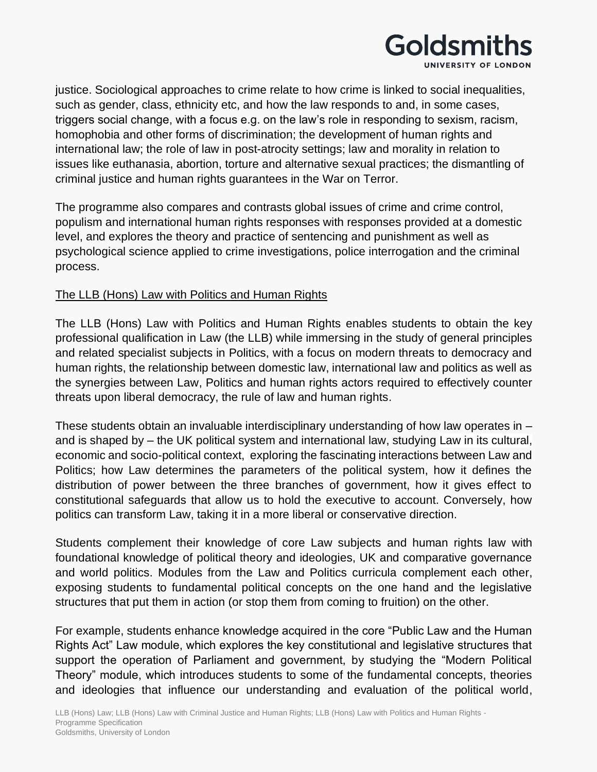

justice. Sociological approaches to crime relate to how crime is linked to social inequalities, such as gender, class, ethnicity etc, and how the law responds to and, in some cases, triggers social change, with a focus e.g. on the law's role in responding to sexism, racism, homophobia and other forms of discrimination; the development of human rights and international law; the role of law in post-atrocity settings; law and morality in relation to issues like euthanasia, abortion, torture and alternative sexual practices; the dismantling of criminal justice and human rights guarantees in the War on Terror.

The programme also compares and contrasts global issues of crime and crime control, populism and international human rights responses with responses provided at a domestic level, and explores the theory and practice of sentencing and punishment as well as psychological science applied to crime investigations, police interrogation and the criminal process.

#### The LLB (Hons) Law with Politics and Human Rights

The LLB (Hons) Law with Politics and Human Rights enables students to obtain the key professional qualification in Law (the LLB) while immersing in the study of general principles and related specialist subjects in Politics, with a focus on modern threats to democracy and human rights, the relationship between domestic law, international law and politics as well as the synergies between Law, Politics and human rights actors required to effectively counter threats upon liberal democracy, the rule of law and human rights.

These students obtain an invaluable interdisciplinary understanding of how law operates in – and is shaped by – the UK political system and international law, studying Law in its cultural, economic and socio-political context, exploring the fascinating interactions between Law and Politics; how Law determines the parameters of the political system, how it defines the distribution of power between the three branches of government, how it gives effect to constitutional safeguards that allow us to hold the executive to account. Conversely, how politics can transform Law, taking it in a more liberal or conservative direction.

Students complement their knowledge of core Law subjects and human rights law with foundational knowledge of political theory and ideologies, UK and comparative governance and world politics. Modules from the Law and Politics curricula complement each other, exposing students to fundamental political concepts on the one hand and the legislative structures that put them in action (or stop them from coming to fruition) on the other.

For example, students enhance knowledge acquired in the core "Public Law and the Human Rights Act" Law module, which explores the key constitutional and legislative structures that support the operation of Parliament and government, by studying the "Modern Political Theory" module, which introduces students to some of the fundamental concepts, theories and ideologies that influence our understanding and evaluation of the political world,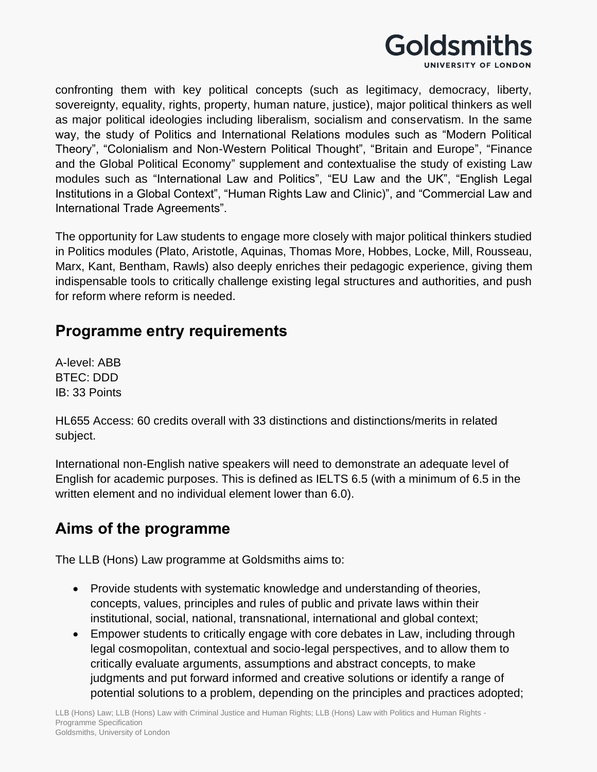

confronting them with key political concepts (such as legitimacy, democracy, liberty, sovereignty, equality, rights, property, human nature, justice), major political thinkers as well as major political ideologies including liberalism, socialism and conservatism. In the same way, the study of Politics and International Relations modules such as "Modern Political Theory", "Colonialism and Non-Western Political Thought", "Britain and Europe", "Finance and the Global Political Economy" supplement and contextualise the study of existing Law modules such as "International Law and Politics", "EU Law and the UK", "English Legal Institutions in a Global Context", "Human Rights Law and Clinic)", and "Commercial Law and International Trade Agreements".

The opportunity for Law students to engage more closely with major political thinkers studied in Politics modules (Plato, Aristotle, Aquinas, Thomas More, Hobbes, Locke, Mill, Rousseau, Marx, Kant, Bentham, Rawls) also deeply enriches their pedagogic experience, giving them indispensable tools to critically challenge existing legal structures and authorities, and push for reform where reform is needed.

### **Programme entry requirements**

A-level: ABB BTEC: DDD IB: 33 Points

HL655 Access: 60 credits overall with 33 distinctions and distinctions/merits in related subject.

International non-English native speakers will need to demonstrate an adequate level of English for academic purposes. This is defined as IELTS 6.5 (with a minimum of 6.5 in the written element and no individual element lower than 6.0).

# **Aims of the programme**

The LLB (Hons) Law programme at Goldsmiths aims to:

- Provide students with systematic knowledge and understanding of theories, concepts, values, principles and rules of public and private laws within their institutional, social, national, transnational, international and global context;
- Empower students to critically engage with core debates in Law, including through legal cosmopolitan, contextual and socio-legal perspectives, and to allow them to critically evaluate arguments, assumptions and abstract concepts, to make judgments and put forward informed and creative solutions or identify a range of potential solutions to a problem, depending on the principles and practices adopted;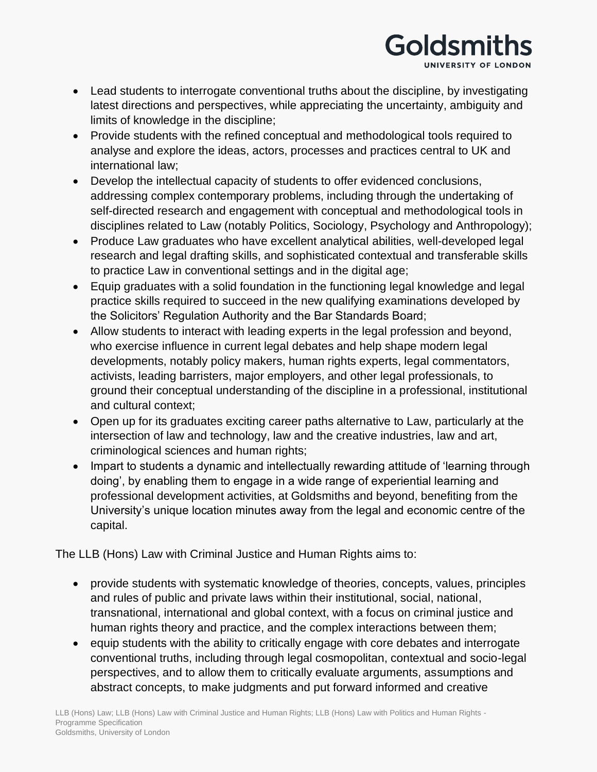

- Lead students to interrogate conventional truths about the discipline, by investigating latest directions and perspectives, while appreciating the uncertainty, ambiguity and limits of knowledge in the discipline;
- Provide students with the refined conceptual and methodological tools required to analyse and explore the ideas, actors, processes and practices central to UK and international law;
- Develop the intellectual capacity of students to offer evidenced conclusions, addressing complex contemporary problems, including through the undertaking of self-directed research and engagement with conceptual and methodological tools in disciplines related to Law (notably Politics, Sociology, Psychology and Anthropology);
- Produce Law graduates who have excellent analytical abilities, well-developed legal research and legal drafting skills, and sophisticated contextual and transferable skills to practice Law in conventional settings and in the digital age;
- Equip graduates with a solid foundation in the functioning legal knowledge and legal practice skills required to succeed in the new qualifying examinations developed by the Solicitors' Regulation Authority and the Bar Standards Board;
- Allow students to interact with leading experts in the legal profession and beyond, who exercise influence in current legal debates and help shape modern legal developments, notably policy makers, human rights experts, legal commentators, activists, leading barristers, major employers, and other legal professionals, to ground their conceptual understanding of the discipline in a professional, institutional and cultural context;
- Open up for its graduates exciting career paths alternative to Law, particularly at the intersection of law and technology, law and the creative industries, law and art, criminological sciences and human rights;
- Impart to students a dynamic and intellectually rewarding attitude of 'learning through doing', by enabling them to engage in a wide range of experiential learning and professional development activities, at Goldsmiths and beyond, benefiting from the University's unique location minutes away from the legal and economic centre of the capital.

The LLB (Hons) Law with Criminal Justice and Human Rights aims to:

- provide students with systematic knowledge of theories, concepts, values, principles and rules of public and private laws within their institutional, social, national, transnational, international and global context, with a focus on criminal justice and human rights theory and practice, and the complex interactions between them;
- equip students with the ability to critically engage with core debates and interrogate conventional truths, including through legal cosmopolitan, contextual and socio-legal perspectives, and to allow them to critically evaluate arguments, assumptions and abstract concepts, to make judgments and put forward informed and creative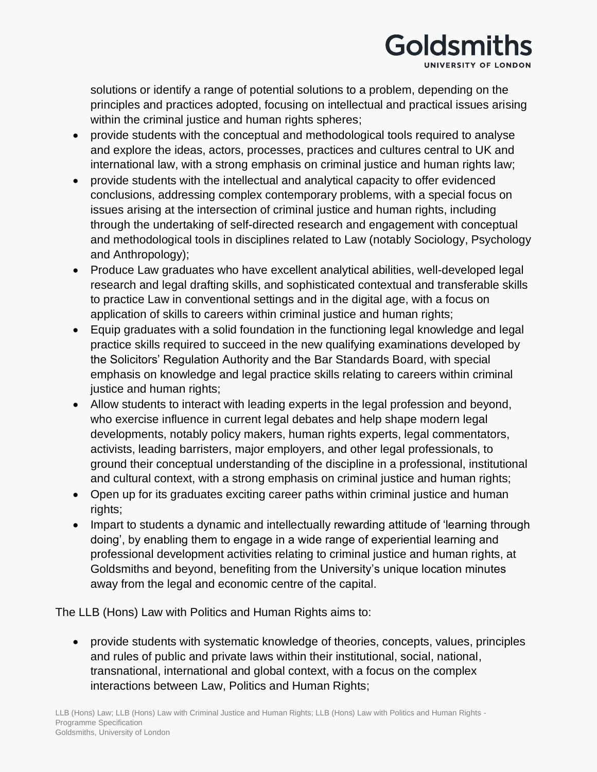

solutions or identify a range of potential solutions to a problem, depending on the principles and practices adopted, focusing on intellectual and practical issues arising within the criminal justice and human rights spheres;

- provide students with the conceptual and methodological tools required to analyse and explore the ideas, actors, processes, practices and cultures central to UK and international law, with a strong emphasis on criminal justice and human rights law;
- provide students with the intellectual and analytical capacity to offer evidenced conclusions, addressing complex contemporary problems, with a special focus on issues arising at the intersection of criminal justice and human rights, including through the undertaking of self-directed research and engagement with conceptual and methodological tools in disciplines related to Law (notably Sociology, Psychology and Anthropology);
- Produce Law graduates who have excellent analytical abilities, well-developed legal research and legal drafting skills, and sophisticated contextual and transferable skills to practice Law in conventional settings and in the digital age, with a focus on application of skills to careers within criminal justice and human rights;
- Equip graduates with a solid foundation in the functioning legal knowledge and legal practice skills required to succeed in the new qualifying examinations developed by the Solicitors' Regulation Authority and the Bar Standards Board, with special emphasis on knowledge and legal practice skills relating to careers within criminal justice and human rights;
- Allow students to interact with leading experts in the legal profession and beyond, who exercise influence in current legal debates and help shape modern legal developments, notably policy makers, human rights experts, legal commentators, activists, leading barristers, major employers, and other legal professionals, to ground their conceptual understanding of the discipline in a professional, institutional and cultural context, with a strong emphasis on criminal justice and human rights;
- Open up for its graduates exciting career paths within criminal justice and human rights;
- Impart to students a dynamic and intellectually rewarding attitude of 'learning through doing', by enabling them to engage in a wide range of experiential learning and professional development activities relating to criminal justice and human rights, at Goldsmiths and beyond, benefiting from the University's unique location minutes away from the legal and economic centre of the capital.

The LLB (Hons) Law with Politics and Human Rights aims to:

• provide students with systematic knowledge of theories, concepts, values, principles and rules of public and private laws within their institutional, social, national, transnational, international and global context, with a focus on the complex interactions between Law, Politics and Human Rights;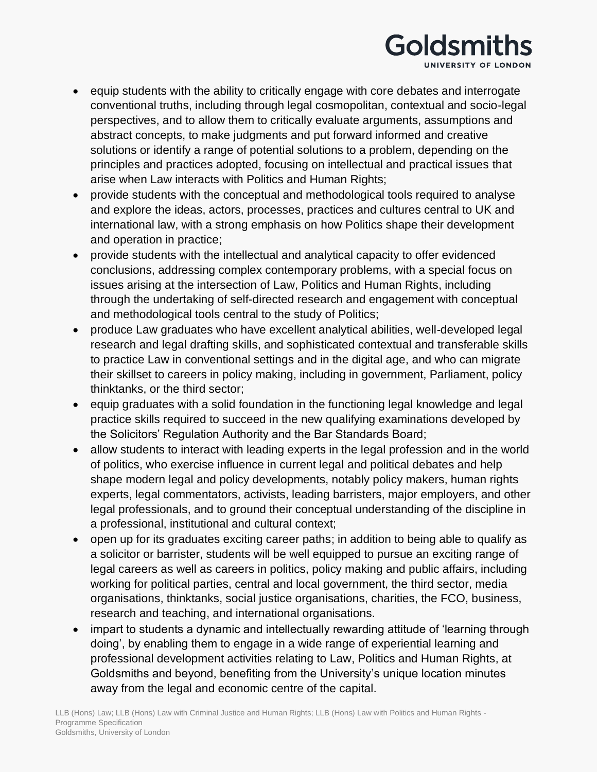

- equip students with the ability to critically engage with core debates and interrogate conventional truths, including through legal cosmopolitan, contextual and socio-legal perspectives, and to allow them to critically evaluate arguments, assumptions and abstract concepts, to make judgments and put forward informed and creative solutions or identify a range of potential solutions to a problem, depending on the principles and practices adopted, focusing on intellectual and practical issues that arise when Law interacts with Politics and Human Rights;
- provide students with the conceptual and methodological tools required to analyse and explore the ideas, actors, processes, practices and cultures central to UK and international law, with a strong emphasis on how Politics shape their development and operation in practice;
- provide students with the intellectual and analytical capacity to offer evidenced conclusions, addressing complex contemporary problems, with a special focus on issues arising at the intersection of Law, Politics and Human Rights, including through the undertaking of self-directed research and engagement with conceptual and methodological tools central to the study of Politics;
- produce Law graduates who have excellent analytical abilities, well-developed legal research and legal drafting skills, and sophisticated contextual and transferable skills to practice Law in conventional settings and in the digital age, and who can migrate their skillset to careers in policy making, including in government, Parliament, policy thinktanks, or the third sector;
- equip graduates with a solid foundation in the functioning legal knowledge and legal practice skills required to succeed in the new qualifying examinations developed by the Solicitors' Regulation Authority and the Bar Standards Board;
- allow students to interact with leading experts in the legal profession and in the world of politics, who exercise influence in current legal and political debates and help shape modern legal and policy developments, notably policy makers, human rights experts, legal commentators, activists, leading barristers, major employers, and other legal professionals, and to ground their conceptual understanding of the discipline in a professional, institutional and cultural context;
- open up for its graduates exciting career paths; in addition to being able to qualify as a solicitor or barrister, students will be well equipped to pursue an exciting range of legal careers as well as careers in politics, policy making and public affairs, including working for political parties, central and local government, the third sector, media organisations, thinktanks, social justice organisations, charities, the FCO, business, research and teaching, and international organisations.
- impart to students a dynamic and intellectually rewarding attitude of 'learning through doing', by enabling them to engage in a wide range of experiential learning and professional development activities relating to Law, Politics and Human Rights, at Goldsmiths and beyond, benefiting from the University's unique location minutes away from the legal and economic centre of the capital.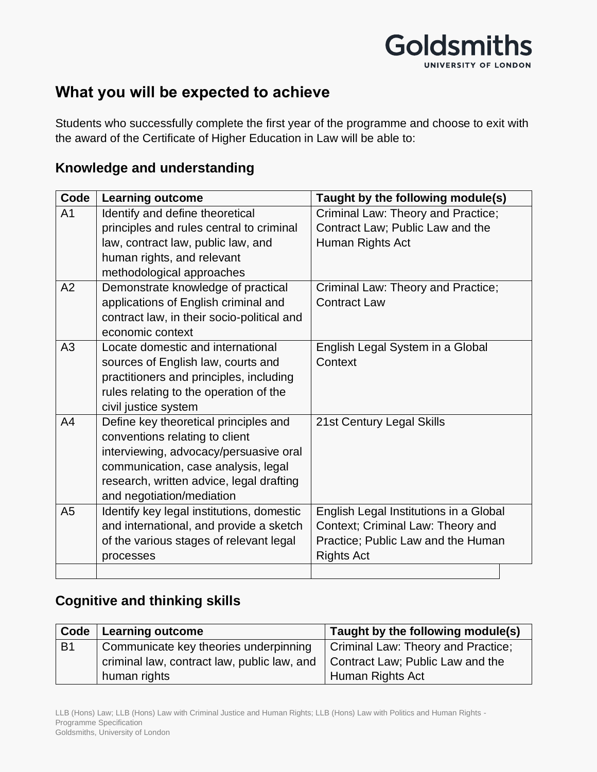

## **What you will be expected to achieve**

Students who successfully complete the first year of the programme and choose to exit with the award of the Certificate of Higher Education in Law will be able to:

#### **Knowledge and understanding**

| Code           | <b>Learning outcome</b>                    | Taught by the following module(s)      |  |
|----------------|--------------------------------------------|----------------------------------------|--|
| A <sub>1</sub> | Identify and define theoretical            | Criminal Law: Theory and Practice;     |  |
|                | principles and rules central to criminal   | Contract Law; Public Law and the       |  |
|                | law, contract law, public law, and         | Human Rights Act                       |  |
|                | human rights, and relevant                 |                                        |  |
|                | methodological approaches                  |                                        |  |
| A2             | Demonstrate knowledge of practical         | Criminal Law: Theory and Practice;     |  |
|                | applications of English criminal and       | <b>Contract Law</b>                    |  |
|                | contract law, in their socio-political and |                                        |  |
|                | economic context                           |                                        |  |
| A3             | Locate domestic and international          | English Legal System in a Global       |  |
|                | sources of English law, courts and         | Context                                |  |
|                | practitioners and principles, including    |                                        |  |
|                | rules relating to the operation of the     |                                        |  |
|                | civil justice system                       |                                        |  |
| A <sub>4</sub> | Define key theoretical principles and      | 21st Century Legal Skills              |  |
|                | conventions relating to client             |                                        |  |
|                | interviewing, advocacy/persuasive oral     |                                        |  |
|                | communication, case analysis, legal        |                                        |  |
|                | research, written advice, legal drafting   |                                        |  |
|                | and negotiation/mediation                  |                                        |  |
| A <sub>5</sub> | Identify key legal institutions, domestic  | English Legal Institutions in a Global |  |
|                | and international, and provide a sketch    | Context; Criminal Law: Theory and      |  |
|                | of the various stages of relevant legal    | Practice; Public Law and the Human     |  |
|                | processes                                  | <b>Rights Act</b>                      |  |
|                |                                            |                                        |  |

#### **Cognitive and thinking skills**

|           | Code   Learning outcome                     | Taught by the following module(s)  |
|-----------|---------------------------------------------|------------------------------------|
| <b>B1</b> | Communicate key theories underpinning       | Criminal Law: Theory and Practice; |
|           | criminal law, contract law, public law, and | Contract Law; Public Law and the   |
|           | human rights                                | Human Rights Act                   |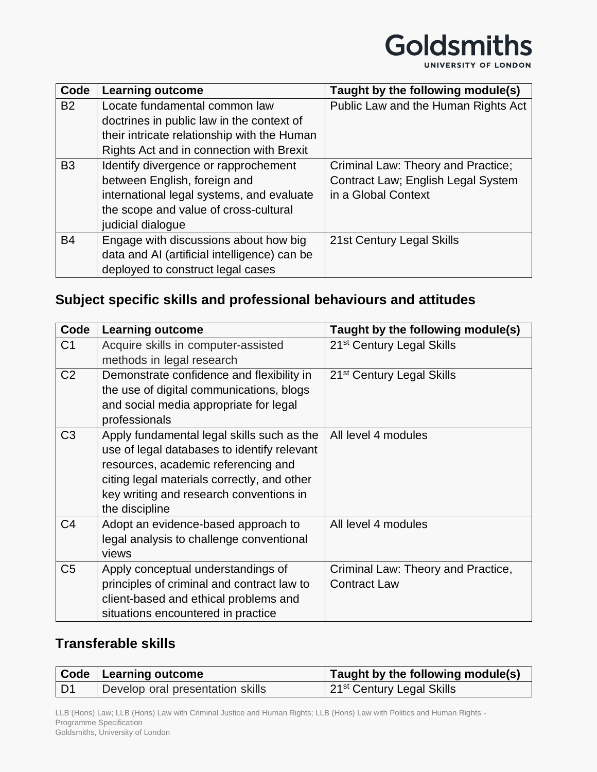| Code           | <b>Learning outcome</b>                      | Taught by the following module(s)   |
|----------------|----------------------------------------------|-------------------------------------|
| <b>B2</b>      | Locate fundamental common law                | Public Law and the Human Rights Act |
|                | doctrines in public law in the context of    |                                     |
|                | their intricate relationship with the Human  |                                     |
|                | Rights Act and in connection with Brexit     |                                     |
| B <sub>3</sub> | Identify divergence or rapprochement         | Criminal Law: Theory and Practice;  |
|                | between English, foreign and                 | Contract Law; English Legal System  |
|                | international legal systems, and evaluate    | in a Global Context                 |
|                | the scope and value of cross-cultural        |                                     |
|                | judicial dialogue                            |                                     |
| <b>B4</b>      | Engage with discussions about how big        | 21st Century Legal Skills           |
|                | data and AI (artificial intelligence) can be |                                     |
|                | deployed to construct legal cases            |                                     |

## **Subject specific skills and professional behaviours and attitudes**

| Code           | <b>Learning outcome</b>                     | Taught by the following module(s)     |
|----------------|---------------------------------------------|---------------------------------------|
| C <sub>1</sub> | Acquire skills in computer-assisted         | 21 <sup>st</sup> Century Legal Skills |
|                | methods in legal research                   |                                       |
| C <sub>2</sub> | Demonstrate confidence and flexibility in   | 21 <sup>st</sup> Century Legal Skills |
|                | the use of digital communications, blogs    |                                       |
|                | and social media appropriate for legal      |                                       |
|                | professionals                               |                                       |
| C <sub>3</sub> | Apply fundamental legal skills such as the  | All level 4 modules                   |
|                | use of legal databases to identify relevant |                                       |
|                | resources, academic referencing and         |                                       |
|                | citing legal materials correctly, and other |                                       |
|                | key writing and research conventions in     |                                       |
|                | the discipline                              |                                       |
| C <sub>4</sub> | Adopt an evidence-based approach to         | All level 4 modules                   |
|                | legal analysis to challenge conventional    |                                       |
|                | views                                       |                                       |
| C <sub>5</sub> | Apply conceptual understandings of          | Criminal Law: Theory and Practice,    |
|                | principles of criminal and contract law to  | <b>Contract Law</b>                   |
|                | client-based and ethical problems and       |                                       |
|                | situations encountered in practice          |                                       |

## **Transferable skills**

|    | Code   Learning outcome          | Taught by the following module(s)     |
|----|----------------------------------|---------------------------------------|
| D1 | Develop oral presentation skills | 21 <sup>st</sup> Century Legal Skills |

LLB (Hons) Law; LLB (Hons) Law with Criminal Justice and Human Rights; LLB (Hons) Law with Politics and Human Rights - Programme Specification Goldsmiths, University of London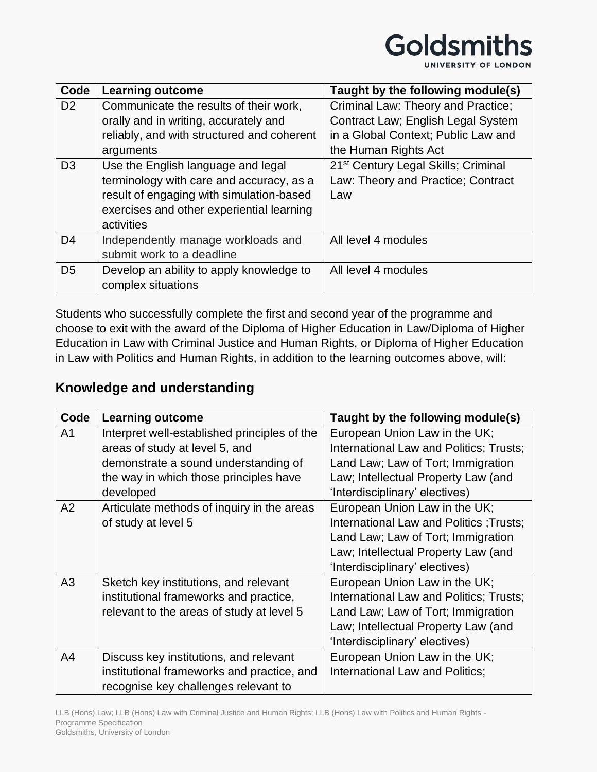

| Code           | <b>Learning outcome</b>                    | Taught by the following module(s)               |
|----------------|--------------------------------------------|-------------------------------------------------|
| D <sub>2</sub> | Communicate the results of their work,     | Criminal Law: Theory and Practice;              |
|                | orally and in writing, accurately and      | Contract Law; English Legal System              |
|                | reliably, and with structured and coherent | in a Global Context; Public Law and             |
|                | arguments                                  | the Human Rights Act                            |
| D <sub>3</sub> | Use the English language and legal         | 21 <sup>st</sup> Century Legal Skills; Criminal |
|                | terminology with care and accuracy, as a   | Law: Theory and Practice; Contract              |
|                | result of engaging with simulation-based   | Law                                             |
|                | exercises and other experiential learning  |                                                 |
|                | activities                                 |                                                 |
| D <sub>4</sub> | Independently manage workloads and         | All level 4 modules                             |
|                | submit work to a deadline                  |                                                 |
| D <sub>5</sub> | Develop an ability to apply knowledge to   | All level 4 modules                             |
|                | complex situations                         |                                                 |

Students who successfully complete the first and second year of the programme and choose to exit with the award of the Diploma of Higher Education in Law/Diploma of Higher Education in Law with Criminal Justice and Human Rights, or Diploma of Higher Education in Law with Politics and Human Rights, in addition to the learning outcomes above, will:

### **Knowledge and understanding**

| Code           | <b>Learning outcome</b>                      | Taught by the following module(s)       |
|----------------|----------------------------------------------|-----------------------------------------|
| A <sub>1</sub> | Interpret well-established principles of the | European Union Law in the UK;           |
|                | areas of study at level 5, and               | International Law and Politics; Trusts; |
|                | demonstrate a sound understanding of         | Land Law; Law of Tort; Immigration      |
|                | the way in which those principles have       | Law; Intellectual Property Law (and     |
|                | developed                                    | 'Interdisciplinary' electives)          |
| A2             | Articulate methods of inquiry in the areas   | European Union Law in the UK;           |
|                | of study at level 5                          | International Law and Politics; Trusts; |
|                |                                              | Land Law; Law of Tort; Immigration      |
|                |                                              | Law; Intellectual Property Law (and     |
|                |                                              | 'Interdisciplinary' electives)          |
| A <sub>3</sub> | Sketch key institutions, and relevant        | European Union Law in the UK;           |
|                | institutional frameworks and practice,       | International Law and Politics; Trusts; |
|                | relevant to the areas of study at level 5    | Land Law; Law of Tort; Immigration      |
|                |                                              | Law; Intellectual Property Law (and     |
|                |                                              | 'Interdisciplinary' electives)          |
| A4             | Discuss key institutions, and relevant       | European Union Law in the UK;           |
|                | institutional frameworks and practice, and   | International Law and Politics;         |
|                | recognise key challenges relevant to         |                                         |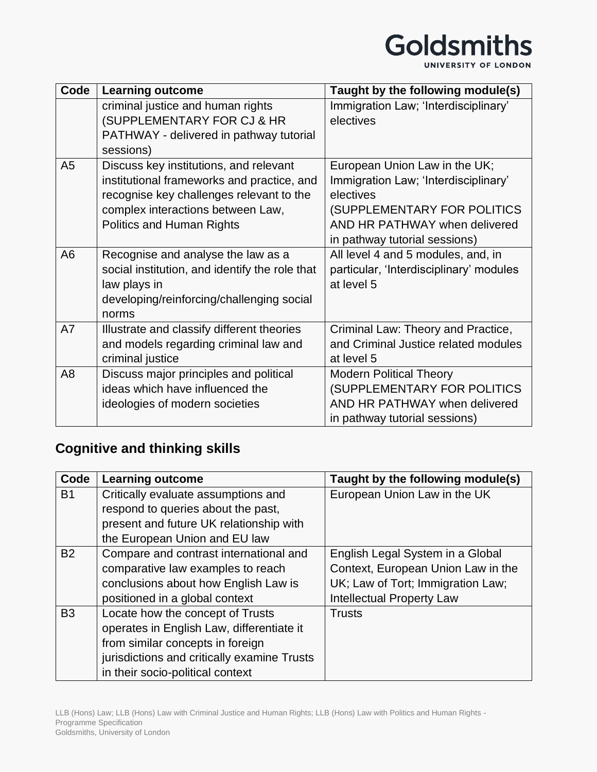UNIVERSITY OF LONDON

| Code           | <b>Learning outcome</b>                              | Taught by the following module(s)       |
|----------------|------------------------------------------------------|-----------------------------------------|
|                | criminal justice and human rights                    | Immigration Law; 'Interdisciplinary'    |
|                | (SUPPLEMENTARY FOR CJ & HR                           | electives                               |
|                | PATHWAY - delivered in pathway tutorial<br>sessions) |                                         |
| A <sub>5</sub> | Discuss key institutions, and relevant               | European Union Law in the UK;           |
|                | institutional frameworks and practice, and           | Immigration Law; 'Interdisciplinary'    |
|                | recognise key challenges relevant to the             | electives                               |
|                | complex interactions between Law,                    | (SUPPLEMENTARY FOR POLITICS             |
|                | <b>Politics and Human Rights</b>                     | AND HR PATHWAY when delivered           |
|                |                                                      | in pathway tutorial sessions)           |
| A <sub>6</sub> | Recognise and analyse the law as a                   | All level 4 and 5 modules, and, in      |
|                | social institution, and identify the role that       | particular, 'Interdisciplinary' modules |
|                | law plays in                                         | at level 5                              |
|                | developing/reinforcing/challenging social            |                                         |
|                | norms                                                |                                         |
| A7             | Illustrate and classify different theories           | Criminal Law: Theory and Practice,      |
|                | and models regarding criminal law and                | and Criminal Justice related modules    |
|                | criminal justice                                     | at level 5                              |
| A <sub>8</sub> | Discuss major principles and political               | <b>Modern Political Theory</b>          |
|                | ideas which have influenced the                      | (SUPPLEMENTARY FOR POLITICS             |
|                | ideologies of modern societies                       | AND HR PATHWAY when delivered           |
|                |                                                      | in pathway tutorial sessions)           |

# **Cognitive and thinking skills**

| Code      | <b>Learning outcome</b>                     | Taught by the following module(s)  |
|-----------|---------------------------------------------|------------------------------------|
| <b>B1</b> | Critically evaluate assumptions and         | European Union Law in the UK       |
|           | respond to queries about the past,          |                                    |
|           | present and future UK relationship with     |                                    |
|           | the European Union and EU law               |                                    |
| <b>B2</b> | Compare and contrast international and      | English Legal System in a Global   |
|           | comparative law examples to reach           | Context, European Union Law in the |
|           | conclusions about how English Law is        | UK; Law of Tort; Immigration Law;  |
|           | positioned in a global context              | <b>Intellectual Property Law</b>   |
| <b>B3</b> | Locate how the concept of Trusts            | <b>Trusts</b>                      |
|           | operates in English Law, differentiate it   |                                    |
|           | from similar concepts in foreign            |                                    |
|           | jurisdictions and critically examine Trusts |                                    |
|           | in their socio-political context            |                                    |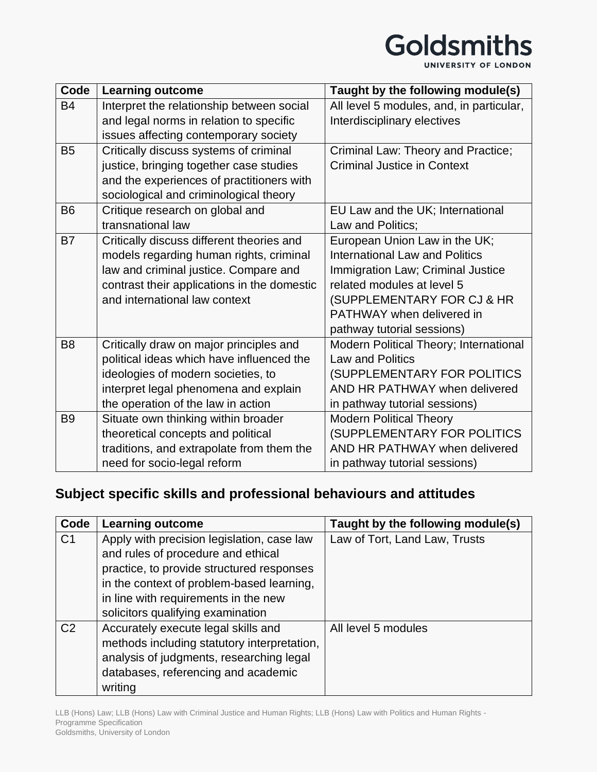UNIVERSITY OF LONDON

| Code           | <b>Learning outcome</b>                     | Taught by the following module(s)        |
|----------------|---------------------------------------------|------------------------------------------|
| <b>B4</b>      | Interpret the relationship between social   | All level 5 modules, and, in particular, |
|                | and legal norms in relation to specific     | Interdisciplinary electives              |
|                | issues affecting contemporary society       |                                          |
| <b>B5</b>      | Critically discuss systems of criminal      | Criminal Law: Theory and Practice;       |
|                | justice, bringing together case studies     | <b>Criminal Justice in Context</b>       |
|                | and the experiences of practitioners with   |                                          |
|                | sociological and criminological theory      |                                          |
| <b>B6</b>      | Critique research on global and             | EU Law and the UK; International         |
|                | transnational law                           | Law and Politics;                        |
| <b>B7</b>      | Critically discuss different theories and   | European Union Law in the UK;            |
|                | models regarding human rights, criminal     | <b>International Law and Politics</b>    |
|                | law and criminal justice. Compare and       | Immigration Law; Criminal Justice        |
|                | contrast their applications in the domestic | related modules at level 5               |
|                | and international law context               | (SUPPLEMENTARY FOR CJ & HR               |
|                |                                             | PATHWAY when delivered in                |
|                |                                             | pathway tutorial sessions)               |
| B <sub>8</sub> | Critically draw on major principles and     | Modern Political Theory; International   |
|                | political ideas which have influenced the   | <b>Law and Politics</b>                  |
|                | ideologies of modern societies, to          | (SUPPLEMENTARY FOR POLITICS              |
|                | interpret legal phenomena and explain       | AND HR PATHWAY when delivered            |
|                | the operation of the law in action          | in pathway tutorial sessions)            |
| B <sub>9</sub> | Situate own thinking within broader         | <b>Modern Political Theory</b>           |
|                | theoretical concepts and political          | (SUPPLEMENTARY FOR POLITICS              |
|                | traditions, and extrapolate from them the   | AND HR PATHWAY when delivered            |
|                | need for socio-legal reform                 | in pathway tutorial sessions)            |

## **Subject specific skills and professional behaviours and attitudes**

| Code           | <b>Learning outcome</b>                     | Taught by the following module(s) |
|----------------|---------------------------------------------|-----------------------------------|
| C <sub>1</sub> | Apply with precision legislation, case law  | Law of Tort, Land Law, Trusts     |
|                | and rules of procedure and ethical          |                                   |
|                | practice, to provide structured responses   |                                   |
|                | in the context of problem-based learning,   |                                   |
|                | in line with requirements in the new        |                                   |
|                | solicitors qualifying examination           |                                   |
| C <sub>2</sub> | Accurately execute legal skills and         | All level 5 modules               |
|                | methods including statutory interpretation, |                                   |
|                | analysis of judgments, researching legal    |                                   |
|                | databases, referencing and academic         |                                   |
|                | writing                                     |                                   |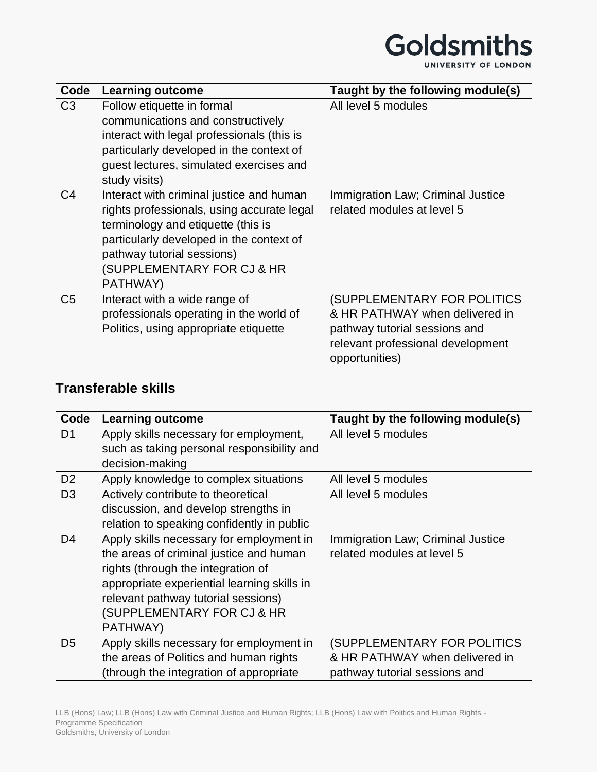| Code           | <b>Learning outcome</b>                                                                                                                                                                                                                          | Taught by the following module(s)                                                                                                                     |
|----------------|--------------------------------------------------------------------------------------------------------------------------------------------------------------------------------------------------------------------------------------------------|-------------------------------------------------------------------------------------------------------------------------------------------------------|
| C <sub>3</sub> | Follow etiquette in formal<br>communications and constructively<br>interact with legal professionals (this is<br>particularly developed in the context of<br>quest lectures, simulated exercises and<br>study visits)                            | All level 5 modules                                                                                                                                   |
| C <sub>4</sub> | Interact with criminal justice and human<br>rights professionals, using accurate legal<br>terminology and etiquette (this is<br>particularly developed in the context of<br>pathway tutorial sessions)<br>(SUPPLEMENTARY FOR CJ & HR<br>PATHWAY) | Immigration Law; Criminal Justice<br>related modules at level 5                                                                                       |
| C <sub>5</sub> | Interact with a wide range of<br>professionals operating in the world of<br>Politics, using appropriate etiquette                                                                                                                                | (SUPPLEMENTARY FOR POLITICS<br>& HR PATHWAY when delivered in<br>pathway tutorial sessions and<br>relevant professional development<br>opportunities) |

#### **Transferable skills**

| Code           | <b>Learning outcome</b>                     | Taught by the following module(s) |
|----------------|---------------------------------------------|-----------------------------------|
| D <sub>1</sub> | Apply skills necessary for employment,      | All level 5 modules               |
|                | such as taking personal responsibility and  |                                   |
|                | decision-making                             |                                   |
| D <sub>2</sub> | Apply knowledge to complex situations       | All level 5 modules               |
| D <sub>3</sub> | Actively contribute to theoretical          | All level 5 modules               |
|                | discussion, and develop strengths in        |                                   |
|                | relation to speaking confidently in public  |                                   |
| D <sub>4</sub> | Apply skills necessary for employment in    | Immigration Law; Criminal Justice |
|                | the areas of criminal justice and human     | related modules at level 5        |
|                | rights (through the integration of          |                                   |
|                | appropriate experiential learning skills in |                                   |
|                | relevant pathway tutorial sessions)         |                                   |
|                | (SUPPLEMENTARY FOR CJ & HR                  |                                   |
|                | PATHWAY)                                    |                                   |
| D <sub>5</sub> | Apply skills necessary for employment in    | (SUPPLEMENTARY FOR POLITICS       |
|                | the areas of Politics and human rights      | & HR PATHWAY when delivered in    |
|                | (through the integration of appropriate)    | pathway tutorial sessions and     |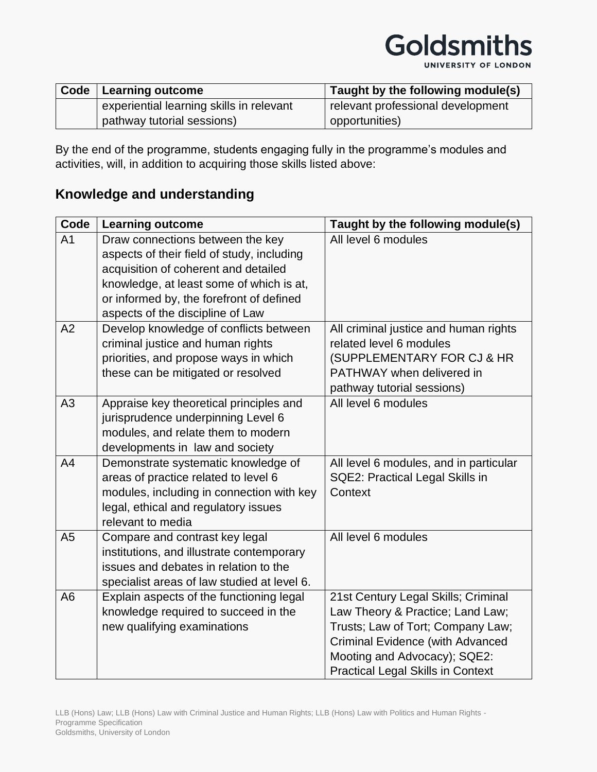| Code | Learning outcome                         | Taught by the following module(s) |
|------|------------------------------------------|-----------------------------------|
|      | experiential learning skills in relevant | relevant professional development |
|      | pathway tutorial sessions)               | opportunities)                    |

By the end of the programme, students engaging fully in the programme's modules and activities, will, in addition to acquiring those skills listed above:

## **Knowledge and understanding**

| Code           | <b>Learning outcome</b>                                                                                                                                                                                                                            | Taught by the following module(s)                                                                                                                                                                                                   |
|----------------|----------------------------------------------------------------------------------------------------------------------------------------------------------------------------------------------------------------------------------------------------|-------------------------------------------------------------------------------------------------------------------------------------------------------------------------------------------------------------------------------------|
| A <sub>1</sub> | Draw connections between the key<br>aspects of their field of study, including<br>acquisition of coherent and detailed<br>knowledge, at least some of which is at,<br>or informed by, the forefront of defined<br>aspects of the discipline of Law | All level 6 modules                                                                                                                                                                                                                 |
| A2             | Develop knowledge of conflicts between<br>criminal justice and human rights<br>priorities, and propose ways in which<br>these can be mitigated or resolved                                                                                         | All criminal justice and human rights<br>related level 6 modules<br>(SUPPLEMENTARY FOR CJ & HR<br>PATHWAY when delivered in<br>pathway tutorial sessions)                                                                           |
| A3             | Appraise key theoretical principles and<br>jurisprudence underpinning Level 6<br>modules, and relate them to modern<br>developments in law and society                                                                                             | All level 6 modules                                                                                                                                                                                                                 |
| A4             | Demonstrate systematic knowledge of<br>areas of practice related to level 6<br>modules, including in connection with key<br>legal, ethical and regulatory issues<br>relevant to media                                                              | All level 6 modules, and in particular<br>SQE2: Practical Legal Skills in<br>Context                                                                                                                                                |
| A <sub>5</sub> | Compare and contrast key legal<br>institutions, and illustrate contemporary<br>issues and debates in relation to the<br>specialist areas of law studied at level 6.                                                                                | All level 6 modules                                                                                                                                                                                                                 |
| A <sub>6</sub> | Explain aspects of the functioning legal<br>knowledge required to succeed in the<br>new qualifying examinations                                                                                                                                    | 21st Century Legal Skills; Criminal<br>Law Theory & Practice; Land Law;<br>Trusts; Law of Tort; Company Law;<br><b>Criminal Evidence (with Advanced</b><br>Mooting and Advocacy); SQE2:<br><b>Practical Legal Skills in Context</b> |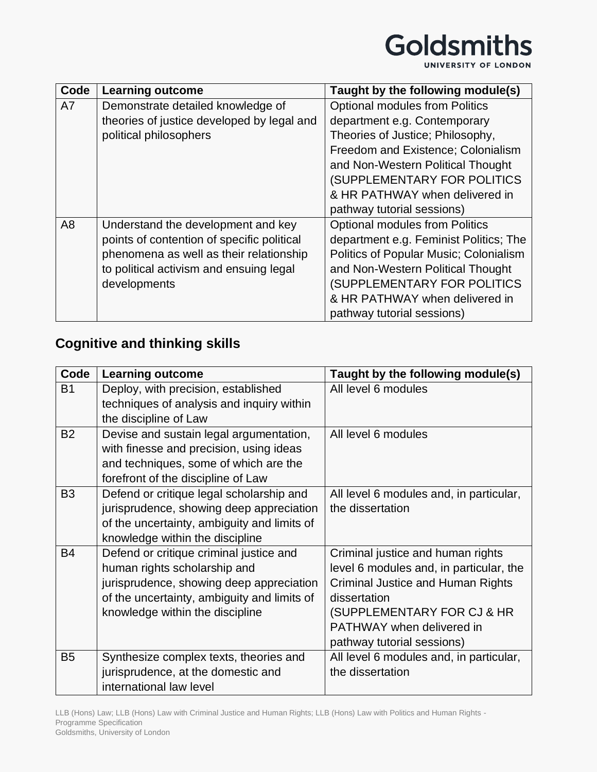UNIVERSITY OF LONDON

| Code | <b>Learning outcome</b>                    | Taught by the following module(s)             |
|------|--------------------------------------------|-----------------------------------------------|
| A7   | Demonstrate detailed knowledge of          | <b>Optional modules from Politics</b>         |
|      | theories of justice developed by legal and | department e.g. Contemporary                  |
|      | political philosophers                     | Theories of Justice; Philosophy,              |
|      |                                            | Freedom and Existence; Colonialism            |
|      |                                            | and Non-Western Political Thought             |
|      |                                            | (SUPPLEMENTARY FOR POLITICS                   |
|      |                                            | & HR PATHWAY when delivered in                |
|      |                                            | pathway tutorial sessions)                    |
| A8   | Understand the development and key         | <b>Optional modules from Politics</b>         |
|      | points of contention of specific political | department e.g. Feminist Politics; The        |
|      | phenomena as well as their relationship    | <b>Politics of Popular Music; Colonialism</b> |
|      | to political activism and ensuing legal    | and Non-Western Political Thought             |
|      | developments                               | (SUPPLEMENTARY FOR POLITICS                   |
|      |                                            | & HR PATHWAY when delivered in                |
|      |                                            | pathway tutorial sessions)                    |

# **Cognitive and thinking skills**

| Code           | <b>Learning outcome</b>                     | Taught by the following module(s)       |
|----------------|---------------------------------------------|-----------------------------------------|
| <b>B1</b>      | Deploy, with precision, established         | All level 6 modules                     |
|                | techniques of analysis and inquiry within   |                                         |
|                | the discipline of Law                       |                                         |
| <b>B2</b>      | Devise and sustain legal argumentation,     | All level 6 modules                     |
|                | with finesse and precision, using ideas     |                                         |
|                | and techniques, some of which are the       |                                         |
|                | forefront of the discipline of Law          |                                         |
| B <sub>3</sub> | Defend or critique legal scholarship and    | All level 6 modules and, in particular, |
|                | jurisprudence, showing deep appreciation    | the dissertation                        |
|                | of the uncertainty, ambiguity and limits of |                                         |
|                | knowledge within the discipline             |                                         |
| <b>B4</b>      | Defend or critique criminal justice and     | Criminal justice and human rights       |
|                | human rights scholarship and                | level 6 modules and, in particular, the |
|                | jurisprudence, showing deep appreciation    | Criminal Justice and Human Rights       |
|                | of the uncertainty, ambiguity and limits of | dissertation                            |
|                | knowledge within the discipline             | (SUPPLEMENTARY FOR CJ & HR              |
|                |                                             | PATHWAY when delivered in               |
|                |                                             | pathway tutorial sessions)              |
| B <sub>5</sub> | Synthesize complex texts, theories and      | All level 6 modules and, in particular, |
|                | jurisprudence, at the domestic and          | the dissertation                        |
|                | international law level                     |                                         |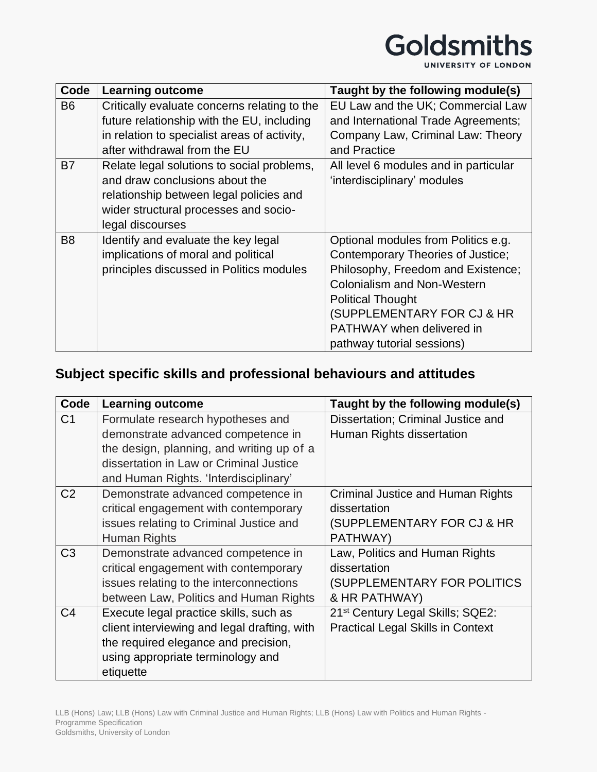UNIVERSITY OF LONDON

| Code           | <b>Learning outcome</b>                      | Taught by the following module(s)     |
|----------------|----------------------------------------------|---------------------------------------|
| <b>B6</b>      | Critically evaluate concerns relating to the | EU Law and the UK; Commercial Law     |
|                | future relationship with the EU, including   | and International Trade Agreements;   |
|                | in relation to specialist areas of activity, | Company Law, Criminal Law: Theory     |
|                | after withdrawal from the EU                 | and Practice                          |
| B7             | Relate legal solutions to social problems,   | All level 6 modules and in particular |
|                | and draw conclusions about the               | 'interdisciplinary' modules           |
|                | relationship between legal policies and      |                                       |
|                | wider structural processes and socio-        |                                       |
|                | legal discourses                             |                                       |
| B <sub>8</sub> | Identify and evaluate the key legal          | Optional modules from Politics e.g.   |
|                | implications of moral and political          | Contemporary Theories of Justice;     |
|                | principles discussed in Politics modules     | Philosophy, Freedom and Existence;    |
|                |                                              | <b>Colonialism and Non-Western</b>    |
|                |                                              | <b>Political Thought</b>              |
|                |                                              | (SUPPLEMENTARY FOR CJ & HR            |
|                |                                              | <b>PATHWAY</b> when delivered in      |
|                |                                              | pathway tutorial sessions)            |

## **Subject specific skills and professional behaviours and attitudes**

| Code           | <b>Learning outcome</b>                      | Taught by the following module(s)            |
|----------------|----------------------------------------------|----------------------------------------------|
| C <sub>1</sub> | Formulate research hypotheses and            | Dissertation; Criminal Justice and           |
|                | demonstrate advanced competence in           | Human Rights dissertation                    |
|                | the design, planning, and writing up of a    |                                              |
|                | dissertation in Law or Criminal Justice      |                                              |
|                | and Human Rights. 'Interdisciplinary'        |                                              |
| C <sub>2</sub> | Demonstrate advanced competence in           | Criminal Justice and Human Rights            |
|                | critical engagement with contemporary        | dissertation                                 |
|                | issues relating to Criminal Justice and      | (SUPPLEMENTARY FOR CJ & HR                   |
|                | Human Rights                                 | PATHWAY)                                     |
| C <sub>3</sub> | Demonstrate advanced competence in           | Law, Politics and Human Rights               |
|                | critical engagement with contemporary        | dissertation                                 |
|                | issues relating to the interconnections      | (SUPPLEMENTARY FOR POLITICS                  |
|                | between Law, Politics and Human Rights       | & HR PATHWAY)                                |
| C <sub>4</sub> | Execute legal practice skills, such as       | 21 <sup>st</sup> Century Legal Skills; SQE2: |
|                | client interviewing and legal drafting, with | <b>Practical Legal Skills in Context</b>     |
|                | the required elegance and precision,         |                                              |
|                | using appropriate terminology and            |                                              |
|                | etiquette                                    |                                              |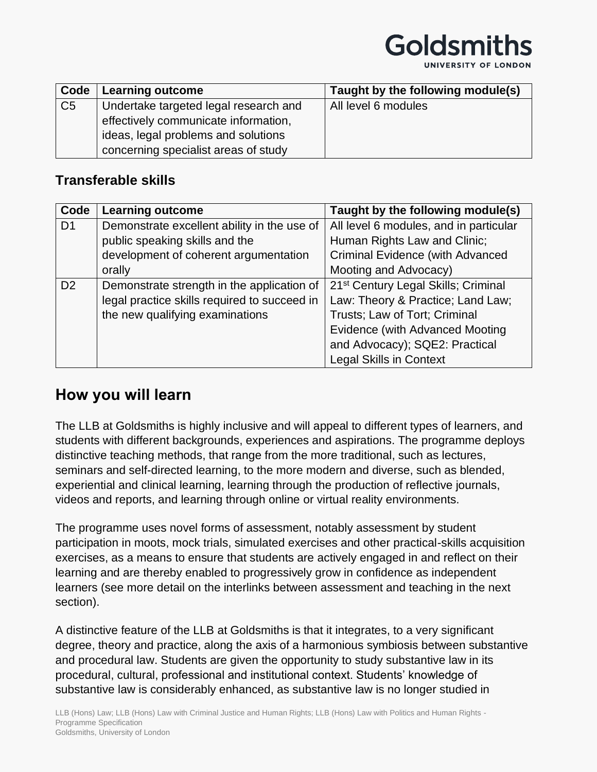| UNIVERSITY OF LONDON |  |  |
|----------------------|--|--|
|----------------------|--|--|

| Code           | Learning outcome                      | Taught by the following module(s) |
|----------------|---------------------------------------|-----------------------------------|
| C <sub>5</sub> | Undertake targeted legal research and | All level 6 modules               |
|                | effectively communicate information,  |                                   |
|                | ideas, legal problems and solutions   |                                   |
|                | concerning specialist areas of study  |                                   |

#### **Transferable skills**

| Code           | <b>Learning outcome</b>                      | Taught by the following module(s)               |
|----------------|----------------------------------------------|-------------------------------------------------|
| D <sub>1</sub> | Demonstrate excellent ability in the use of  | All level 6 modules, and in particular          |
|                | public speaking skills and the               | Human Rights Law and Clinic;                    |
|                | development of coherent argumentation        | <b>Criminal Evidence (with Advanced</b>         |
|                | orally                                       | Mooting and Advocacy)                           |
| D <sub>2</sub> | Demonstrate strength in the application of   | 21 <sup>st</sup> Century Legal Skills; Criminal |
|                | legal practice skills required to succeed in | Law: Theory & Practice; Land Law;               |
|                | the new qualifying examinations              | Trusts; Law of Tort; Criminal                   |
|                |                                              | <b>Evidence (with Advanced Mooting</b>          |
|                |                                              | and Advocacy); SQE2: Practical                  |
|                |                                              | <b>Legal Skills in Context</b>                  |

## **How you will learn**

The LLB at Goldsmiths is highly inclusive and will appeal to different types of learners, and students with different backgrounds, experiences and aspirations. The programme deploys distinctive teaching methods, that range from the more traditional, such as lectures, seminars and self-directed learning, to the more modern and diverse, such as blended, experiential and clinical learning, learning through the production of reflective journals, videos and reports, and learning through online or virtual reality environments.

The programme uses novel forms of assessment, notably assessment by student participation in moots, mock trials, simulated exercises and other practical-skills acquisition exercises, as a means to ensure that students are actively engaged in and reflect on their learning and are thereby enabled to progressively grow in confidence as independent learners (see more detail on the interlinks between assessment and teaching in the next section).

A distinctive feature of the LLB at Goldsmiths is that it integrates, to a very significant degree, theory and practice, along the axis of a harmonious symbiosis between substantive and procedural law. Students are given the opportunity to study substantive law in its procedural, cultural, professional and institutional context. Students' knowledge of substantive law is considerably enhanced, as substantive law is no longer studied in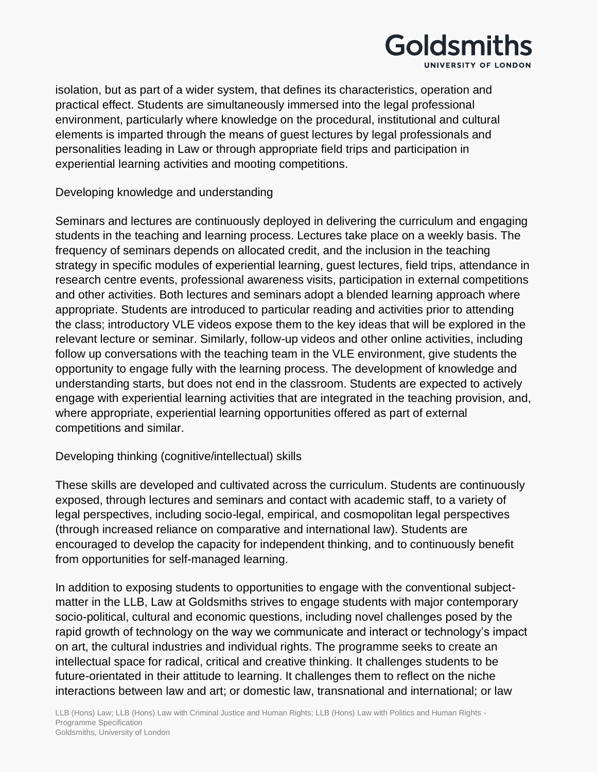

isolation, but as part of a wider system, that defines its characteristics, operation and practical effect. Students are simultaneously immersed into the legal professional environment, particularly where knowledge on the procedural, institutional and cultural elements is imparted through the means of guest lectures by legal professionals and personalities leading in Law or through appropriate field trips and participation in experiential learning activities and mooting competitions.

#### Developing knowledge and understanding

Seminars and lectures are continuously deployed in delivering the curriculum and engaging students in the teaching and learning process. Lectures take place on a weekly basis. The frequency of seminars depends on allocated credit, and the inclusion in the teaching strategy in specific modules of experiential learning, guest lectures, field trips, attendance in research centre events, professional awareness visits, participation in external competitions and other activities. Both lectures and seminars adopt a blended learning approach where appropriate. Students are introduced to particular reading and activities prior to attending the class; introductory VLE videos expose them to the key ideas that will be explored in the relevant lecture or seminar. Similarly, follow-up videos and other online activities, including follow up conversations with the teaching team in the VLE environment, give students the opportunity to engage fully with the learning process. The development of knowledge and understanding starts, but does not end in the classroom. Students are expected to actively engage with experiential learning activities that are integrated in the teaching provision, and, where appropriate, experiential learning opportunities offered as part of external competitions and similar.

#### Developing thinking (cognitive/intellectual) skills

These skills are developed and cultivated across the curriculum. Students are continuously exposed, through lectures and seminars and contact with academic staff, to a variety of legal perspectives, including socio-legal, empirical, and cosmopolitan legal perspectives (through increased reliance on comparative and international law). Students are encouraged to develop the capacity for independent thinking, and to continuously benefit from opportunities for self-managed learning.

In addition to exposing students to opportunities to engage with the conventional subjectmatter in the LLB, Law at Goldsmiths strives to engage students with major contemporary socio-political, cultural and economic questions, including novel challenges posed by the rapid growth of technology on the way we communicate and interact or technology's impact on art, the cultural industries and individual rights. The programme seeks to create an intellectual space for radical, critical and creative thinking. It challenges students to be future-orientated in their attitude to learning. It challenges them to reflect on the niche interactions between law and art; or domestic law, transnational and international; or law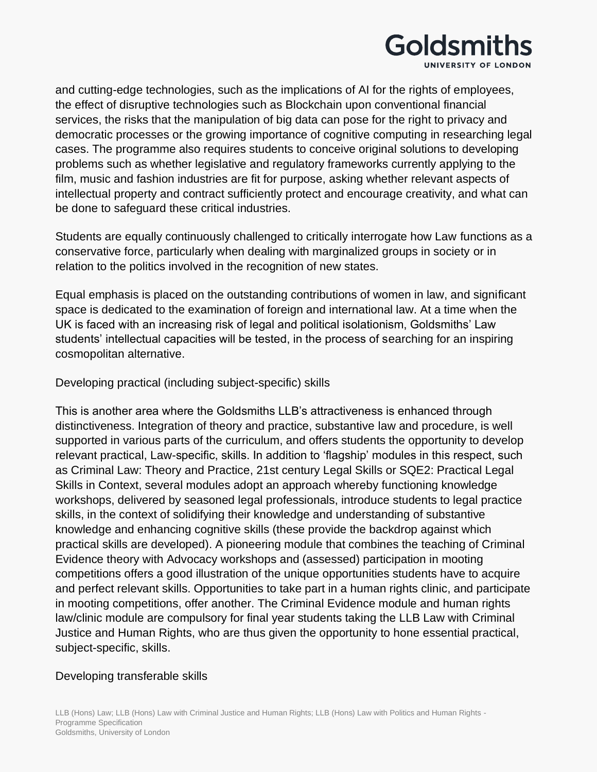

and cutting-edge technologies, such as the implications of AI for the rights of employees, the effect of disruptive technologies such as Blockchain upon conventional financial services, the risks that the manipulation of big data can pose for the right to privacy and democratic processes or the growing importance of cognitive computing in researching legal cases. The programme also requires students to conceive original solutions to developing problems such as whether legislative and regulatory frameworks currently applying to the film, music and fashion industries are fit for purpose, asking whether relevant aspects of intellectual property and contract sufficiently protect and encourage creativity, and what can be done to safeguard these critical industries.

Students are equally continuously challenged to critically interrogate how Law functions as a conservative force, particularly when dealing with marginalized groups in society or in relation to the politics involved in the recognition of new states.

Equal emphasis is placed on the outstanding contributions of women in law, and significant space is dedicated to the examination of foreign and international law. At a time when the UK is faced with an increasing risk of legal and political isolationism, Goldsmiths' Law students' intellectual capacities will be tested, in the process of searching for an inspiring cosmopolitan alternative.

#### Developing practical (including subject-specific) skills

This is another area where the Goldsmiths LLB's attractiveness is enhanced through distinctiveness. Integration of theory and practice, substantive law and procedure, is well supported in various parts of the curriculum, and offers students the opportunity to develop relevant practical, Law-specific, skills. In addition to 'flagship' modules in this respect, such as Criminal Law: Theory and Practice, 21st century Legal Skills or SQE2: Practical Legal Skills in Context, several modules adopt an approach whereby functioning knowledge workshops, delivered by seasoned legal professionals, introduce students to legal practice skills, in the context of solidifying their knowledge and understanding of substantive knowledge and enhancing cognitive skills (these provide the backdrop against which practical skills are developed). A pioneering module that combines the teaching of Criminal Evidence theory with Advocacy workshops and (assessed) participation in mooting competitions offers a good illustration of the unique opportunities students have to acquire and perfect relevant skills. Opportunities to take part in a human rights clinic, and participate in mooting competitions, offer another. The Criminal Evidence module and human rights law/clinic module are compulsory for final year students taking the LLB Law with Criminal Justice and Human Rights, who are thus given the opportunity to hone essential practical, subject-specific, skills.

#### Developing transferable skills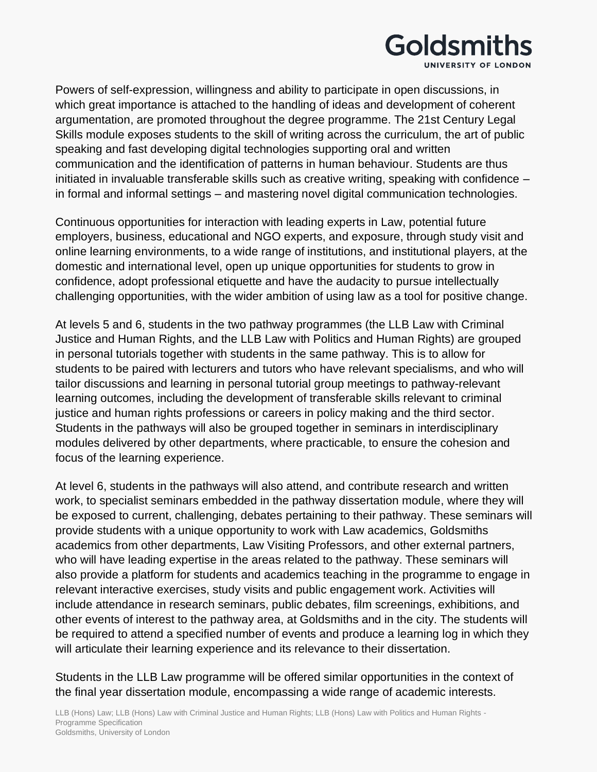

Powers of self-expression, willingness and ability to participate in open discussions, in which great importance is attached to the handling of ideas and development of coherent argumentation, are promoted throughout the degree programme. The 21st Century Legal Skills module exposes students to the skill of writing across the curriculum, the art of public speaking and fast developing digital technologies supporting oral and written communication and the identification of patterns in human behaviour. Students are thus initiated in invaluable transferable skills such as creative writing, speaking with confidence – in formal and informal settings – and mastering novel digital communication technologies.

Continuous opportunities for interaction with leading experts in Law, potential future employers, business, educational and NGO experts, and exposure, through study visit and online learning environments, to a wide range of institutions, and institutional players, at the domestic and international level, open up unique opportunities for students to grow in confidence, adopt professional etiquette and have the audacity to pursue intellectually challenging opportunities, with the wider ambition of using law as a tool for positive change.

At levels 5 and 6, students in the two pathway programmes (the LLB Law with Criminal Justice and Human Rights, and the LLB Law with Politics and Human Rights) are grouped in personal tutorials together with students in the same pathway. This is to allow for students to be paired with lecturers and tutors who have relevant specialisms, and who will tailor discussions and learning in personal tutorial group meetings to pathway-relevant learning outcomes, including the development of transferable skills relevant to criminal justice and human rights professions or careers in policy making and the third sector. Students in the pathways will also be grouped together in seminars in interdisciplinary modules delivered by other departments, where practicable, to ensure the cohesion and focus of the learning experience.

At level 6, students in the pathways will also attend, and contribute research and written work, to specialist seminars embedded in the pathway dissertation module, where they will be exposed to current, challenging, debates pertaining to their pathway. These seminars will provide students with a unique opportunity to work with Law academics, Goldsmiths academics from other departments, Law Visiting Professors, and other external partners, who will have leading expertise in the areas related to the pathway. These seminars will also provide a platform for students and academics teaching in the programme to engage in relevant interactive exercises, study visits and public engagement work. Activities will include attendance in research seminars, public debates, film screenings, exhibitions, and other events of interest to the pathway area, at Goldsmiths and in the city. The students will be required to attend a specified number of events and produce a learning log in which they will articulate their learning experience and its relevance to their dissertation.

Students in the LLB Law programme will be offered similar opportunities in the context of the final year dissertation module, encompassing a wide range of academic interests.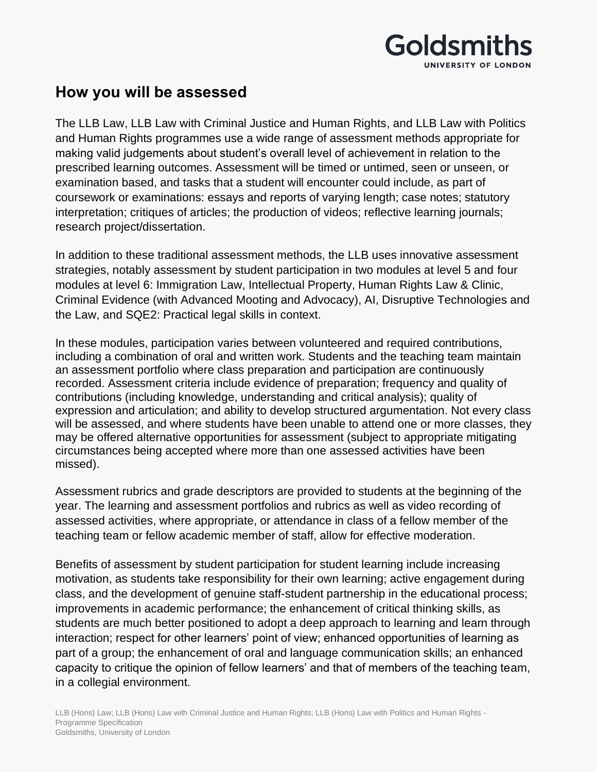

## **How you will be assessed**

The LLB Law, LLB Law with Criminal Justice and Human Rights, and LLB Law with Politics and Human Rights programmes use a wide range of assessment methods appropriate for making valid judgements about student's overall level of achievement in relation to the prescribed learning outcomes. Assessment will be timed or untimed, seen or unseen, or examination based, and tasks that a student will encounter could include, as part of coursework or examinations: essays and reports of varying length; case notes; statutory interpretation; critiques of articles; the production of videos; reflective learning journals; research project/dissertation.

In addition to these traditional assessment methods, the LLB uses innovative assessment strategies, notably assessment by student participation in two modules at level 5 and four modules at level 6: Immigration Law, Intellectual Property, Human Rights Law & Clinic, Criminal Evidence (with Advanced Mooting and Advocacy), AI, Disruptive Technologies and the Law, and SQE2: Practical legal skills in context.

In these modules, participation varies between volunteered and required contributions, including a combination of oral and written work. Students and the teaching team maintain an assessment portfolio where class preparation and participation are continuously recorded. Assessment criteria include evidence of preparation; frequency and quality of contributions (including knowledge, understanding and critical analysis); quality of expression and articulation; and ability to develop structured argumentation. Not every class will be assessed, and where students have been unable to attend one or more classes, they may be offered alternative opportunities for assessment (subject to appropriate mitigating circumstances being accepted where more than one assessed activities have been missed).

Assessment rubrics and grade descriptors are provided to students at the beginning of the year. The learning and assessment portfolios and rubrics as well as video recording of assessed activities, where appropriate, or attendance in class of a fellow member of the teaching team or fellow academic member of staff, allow for effective moderation.

Benefits of assessment by student participation for student learning include increasing motivation, as students take responsibility for their own learning; active engagement during class, and the development of genuine staff-student partnership in the educational process; improvements in academic performance; the enhancement of critical thinking skills, as students are much better positioned to adopt a deep approach to learning and learn through interaction; respect for other learners' point of view; enhanced opportunities of learning as part of a group; the enhancement of oral and language communication skills; an enhanced capacity to critique the opinion of fellow learners' and that of members of the teaching team, in a collegial environment.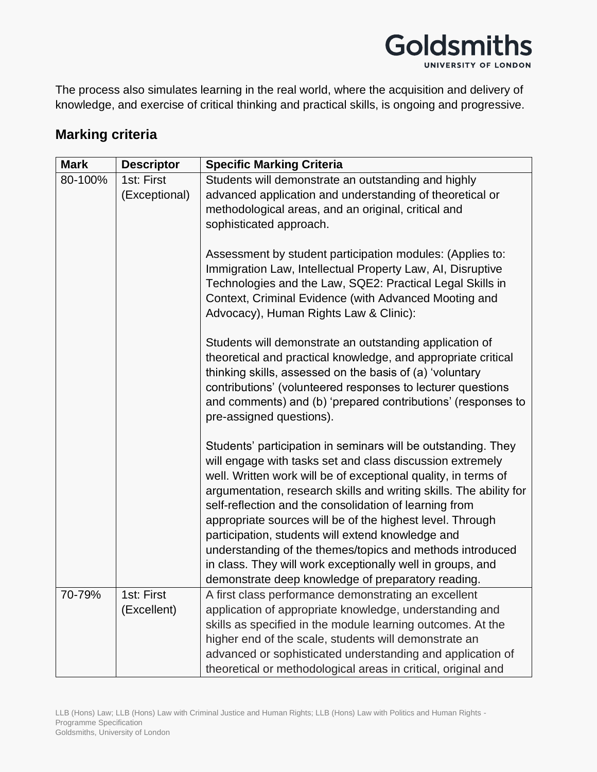

The process also simulates learning in the real world, where the acquisition and delivery of knowledge, and exercise of critical thinking and practical skills, is ongoing and progressive.

#### **Marking criteria**

| <b>Mark</b> | <b>Descriptor</b>         | <b>Specific Marking Criteria</b>                                                                                                                                                                                                                                                                                                                                                                                                                                                                                                                                                                                                |
|-------------|---------------------------|---------------------------------------------------------------------------------------------------------------------------------------------------------------------------------------------------------------------------------------------------------------------------------------------------------------------------------------------------------------------------------------------------------------------------------------------------------------------------------------------------------------------------------------------------------------------------------------------------------------------------------|
| 80-100%     | 1st: First                | Students will demonstrate an outstanding and highly                                                                                                                                                                                                                                                                                                                                                                                                                                                                                                                                                                             |
|             | (Exceptional)             | advanced application and understanding of theoretical or                                                                                                                                                                                                                                                                                                                                                                                                                                                                                                                                                                        |
|             |                           | methodological areas, and an original, critical and                                                                                                                                                                                                                                                                                                                                                                                                                                                                                                                                                                             |
|             |                           | sophisticated approach.                                                                                                                                                                                                                                                                                                                                                                                                                                                                                                                                                                                                         |
|             |                           | Assessment by student participation modules: (Applies to:<br>Immigration Law, Intellectual Property Law, AI, Disruptive<br>Technologies and the Law, SQE2: Practical Legal Skills in<br>Context, Criminal Evidence (with Advanced Mooting and<br>Advocacy), Human Rights Law & Clinic):                                                                                                                                                                                                                                                                                                                                         |
|             |                           | Students will demonstrate an outstanding application of<br>theoretical and practical knowledge, and appropriate critical<br>thinking skills, assessed on the basis of (a) 'voluntary<br>contributions' (volunteered responses to lecturer questions<br>and comments) and (b) 'prepared contributions' (responses to<br>pre-assigned questions).                                                                                                                                                                                                                                                                                 |
|             |                           | Students' participation in seminars will be outstanding. They<br>will engage with tasks set and class discussion extremely<br>well. Written work will be of exceptional quality, in terms of<br>argumentation, research skills and writing skills. The ability for<br>self-reflection and the consolidation of learning from<br>appropriate sources will be of the highest level. Through<br>participation, students will extend knowledge and<br>understanding of the themes/topics and methods introduced<br>in class. They will work exceptionally well in groups, and<br>demonstrate deep knowledge of preparatory reading. |
| 70-79%      | 1st: First<br>(Excellent) | A first class performance demonstrating an excellent<br>application of appropriate knowledge, understanding and<br>skills as specified in the module learning outcomes. At the<br>higher end of the scale, students will demonstrate an<br>advanced or sophisticated understanding and application of<br>theoretical or methodological areas in critical, original and                                                                                                                                                                                                                                                          |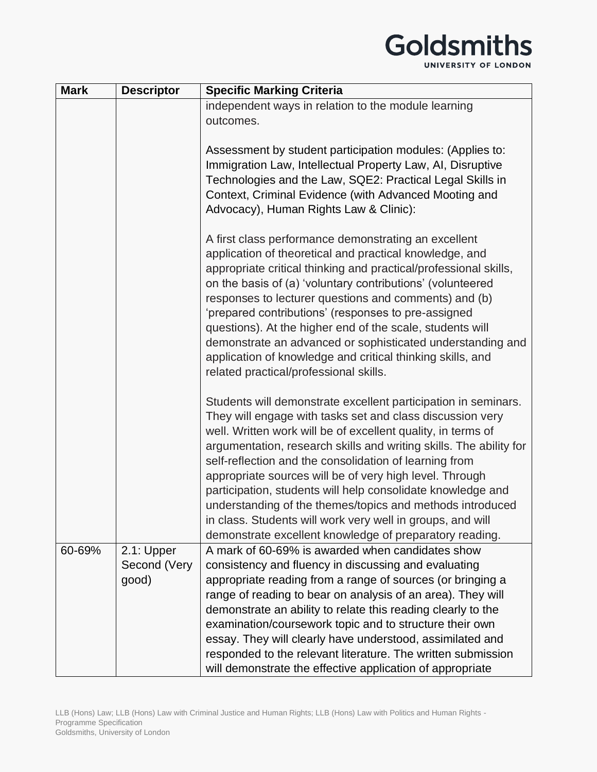| <b>Mark</b> | <b>Descriptor</b>                   | <b>Specific Marking Criteria</b>                                                                                                                                                                                                                                                                                                                                                                                                                                                                                                                                                                                                            |
|-------------|-------------------------------------|---------------------------------------------------------------------------------------------------------------------------------------------------------------------------------------------------------------------------------------------------------------------------------------------------------------------------------------------------------------------------------------------------------------------------------------------------------------------------------------------------------------------------------------------------------------------------------------------------------------------------------------------|
|             |                                     | independent ways in relation to the module learning<br>outcomes.                                                                                                                                                                                                                                                                                                                                                                                                                                                                                                                                                                            |
|             |                                     | Assessment by student participation modules: (Applies to:<br>Immigration Law, Intellectual Property Law, AI, Disruptive<br>Technologies and the Law, SQE2: Practical Legal Skills in<br>Context, Criminal Evidence (with Advanced Mooting and<br>Advocacy), Human Rights Law & Clinic):                                                                                                                                                                                                                                                                                                                                                     |
|             |                                     | A first class performance demonstrating an excellent<br>application of theoretical and practical knowledge, and<br>appropriate critical thinking and practical/professional skills,<br>on the basis of (a) 'voluntary contributions' (volunteered<br>responses to lecturer questions and comments) and (b)<br>'prepared contributions' (responses to pre-assigned<br>questions). At the higher end of the scale, students will<br>demonstrate an advanced or sophisticated understanding and<br>application of knowledge and critical thinking skills, and<br>related practical/professional skills.                                        |
|             |                                     | Students will demonstrate excellent participation in seminars.<br>They will engage with tasks set and class discussion very<br>well. Written work will be of excellent quality, in terms of<br>argumentation, research skills and writing skills. The ability for<br>self-reflection and the consolidation of learning from<br>appropriate sources will be of very high level. Through<br>participation, students will help consolidate knowledge and<br>understanding of the themes/topics and methods introduced<br>in class. Students will work very well in groups, and will<br>demonstrate excellent knowledge of preparatory reading. |
| 60-69%      | 2.1: Upper<br>Second (Very<br>good) | A mark of 60-69% is awarded when candidates show<br>consistency and fluency in discussing and evaluating<br>appropriate reading from a range of sources (or bringing a<br>range of reading to bear on analysis of an area). They will<br>demonstrate an ability to relate this reading clearly to the<br>examination/coursework topic and to structure their own<br>essay. They will clearly have understood, assimilated and<br>responded to the relevant literature. The written submission<br>will demonstrate the effective application of appropriate                                                                                  |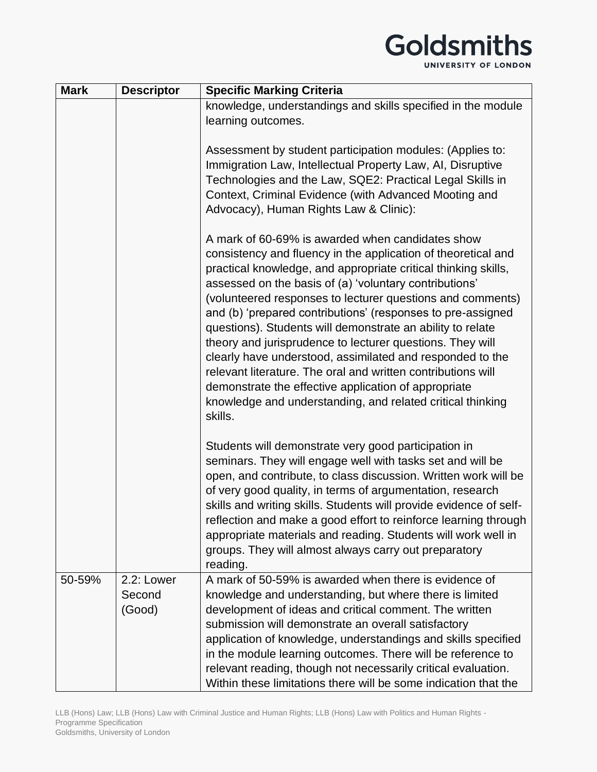| <b>Mark</b> | <b>Descriptor</b>              | <b>Specific Marking Criteria</b>                                                                                                                                                                                                                                                                                                                                                                                                                                                                                                                                                                                                                                                                                                                                    |
|-------------|--------------------------------|---------------------------------------------------------------------------------------------------------------------------------------------------------------------------------------------------------------------------------------------------------------------------------------------------------------------------------------------------------------------------------------------------------------------------------------------------------------------------------------------------------------------------------------------------------------------------------------------------------------------------------------------------------------------------------------------------------------------------------------------------------------------|
|             |                                | knowledge, understandings and skills specified in the module                                                                                                                                                                                                                                                                                                                                                                                                                                                                                                                                                                                                                                                                                                        |
|             |                                | learning outcomes.                                                                                                                                                                                                                                                                                                                                                                                                                                                                                                                                                                                                                                                                                                                                                  |
|             |                                |                                                                                                                                                                                                                                                                                                                                                                                                                                                                                                                                                                                                                                                                                                                                                                     |
|             |                                | Assessment by student participation modules: (Applies to:                                                                                                                                                                                                                                                                                                                                                                                                                                                                                                                                                                                                                                                                                                           |
|             |                                | Immigration Law, Intellectual Property Law, AI, Disruptive                                                                                                                                                                                                                                                                                                                                                                                                                                                                                                                                                                                                                                                                                                          |
|             |                                | Technologies and the Law, SQE2: Practical Legal Skills in                                                                                                                                                                                                                                                                                                                                                                                                                                                                                                                                                                                                                                                                                                           |
|             |                                | Context, Criminal Evidence (with Advanced Mooting and                                                                                                                                                                                                                                                                                                                                                                                                                                                                                                                                                                                                                                                                                                               |
|             |                                | Advocacy), Human Rights Law & Clinic):                                                                                                                                                                                                                                                                                                                                                                                                                                                                                                                                                                                                                                                                                                                              |
|             |                                | A mark of 60-69% is awarded when candidates show<br>consistency and fluency in the application of theoretical and<br>practical knowledge, and appropriate critical thinking skills,<br>assessed on the basis of (a) 'voluntary contributions'<br>(volunteered responses to lecturer questions and comments)<br>and (b) 'prepared contributions' (responses to pre-assigned<br>questions). Students will demonstrate an ability to relate<br>theory and jurisprudence to lecturer questions. They will<br>clearly have understood, assimilated and responded to the<br>relevant literature. The oral and written contributions will<br>demonstrate the effective application of appropriate<br>knowledge and understanding, and related critical thinking<br>skills. |
|             |                                | Students will demonstrate very good participation in<br>seminars. They will engage well with tasks set and will be<br>open, and contribute, to class discussion. Written work will be<br>of very good quality, in terms of argumentation, research<br>skills and writing skills. Students will provide evidence of self-<br>reflection and make a good effort to reinforce learning through<br>appropriate materials and reading. Students will work well in<br>groups. They will almost always carry out preparatory<br>reading.                                                                                                                                                                                                                                   |
| 50-59%      | 2.2: Lower<br>Second<br>(Good) | A mark of 50-59% is awarded when there is evidence of<br>knowledge and understanding, but where there is limited<br>development of ideas and critical comment. The written<br>submission will demonstrate an overall satisfactory<br>application of knowledge, understandings and skills specified<br>in the module learning outcomes. There will be reference to<br>relevant reading, though not necessarily critical evaluation.<br>Within these limitations there will be some indication that the                                                                                                                                                                                                                                                               |

LLB (Hons) Law; LLB (Hons) Law with Criminal Justice and Human Rights; LLB (Hons) Law with Politics and Human Rights - Programme Specification Goldsmiths, University of London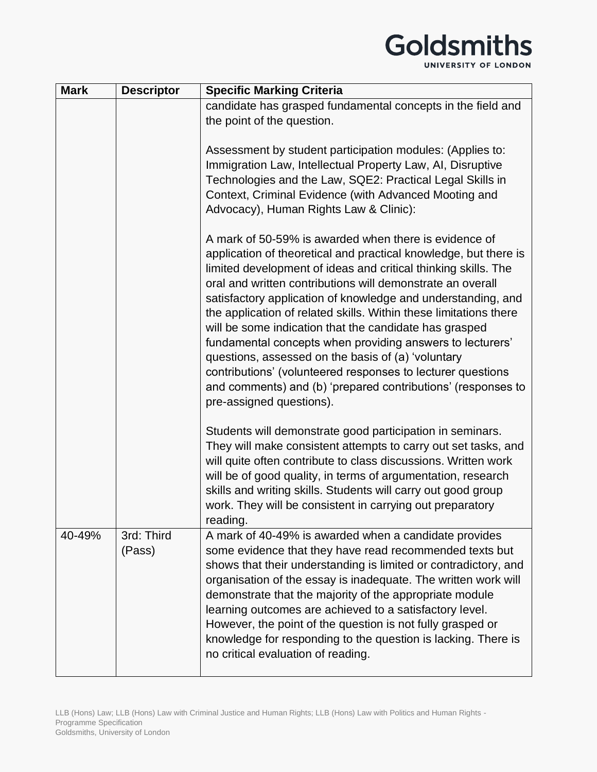| <b>Mark</b> | <b>Descriptor</b>    | <b>Specific Marking Criteria</b>                                                                                                                                                                                                                          |
|-------------|----------------------|-----------------------------------------------------------------------------------------------------------------------------------------------------------------------------------------------------------------------------------------------------------|
|             |                      | candidate has grasped fundamental concepts in the field and                                                                                                                                                                                               |
|             |                      | the point of the question.                                                                                                                                                                                                                                |
|             |                      |                                                                                                                                                                                                                                                           |
|             |                      | Assessment by student participation modules: (Applies to:<br>Immigration Law, Intellectual Property Law, AI, Disruptive                                                                                                                                   |
|             |                      | Technologies and the Law, SQE2: Practical Legal Skills in                                                                                                                                                                                                 |
|             |                      | Context, Criminal Evidence (with Advanced Mooting and                                                                                                                                                                                                     |
|             |                      | Advocacy), Human Rights Law & Clinic):                                                                                                                                                                                                                    |
|             |                      |                                                                                                                                                                                                                                                           |
|             |                      | A mark of 50-59% is awarded when there is evidence of<br>application of theoretical and practical knowledge, but there is<br>limited development of ideas and critical thinking skills. The                                                               |
|             |                      | oral and written contributions will demonstrate an overall<br>satisfactory application of knowledge and understanding, and<br>the application of related skills. Within these limitations there<br>will be some indication that the candidate has grasped |
|             |                      | fundamental concepts when providing answers to lecturers'                                                                                                                                                                                                 |
|             |                      | questions, assessed on the basis of (a) 'voluntary<br>contributions' (volunteered responses to lecturer questions                                                                                                                                         |
|             |                      | and comments) and (b) 'prepared contributions' (responses to                                                                                                                                                                                              |
|             |                      | pre-assigned questions).                                                                                                                                                                                                                                  |
|             |                      |                                                                                                                                                                                                                                                           |
|             |                      | Students will demonstrate good participation in seminars.<br>They will make consistent attempts to carry out set tasks, and                                                                                                                               |
|             |                      | will quite often contribute to class discussions. Written work                                                                                                                                                                                            |
|             |                      | will be of good quality, in terms of argumentation, research                                                                                                                                                                                              |
|             |                      | skills and writing skills. Students will carry out good group                                                                                                                                                                                             |
|             |                      | work. They will be consistent in carrying out preparatory                                                                                                                                                                                                 |
|             |                      | reading.                                                                                                                                                                                                                                                  |
| 40-49%      | 3rd: Third<br>(Pass) | A mark of 40-49% is awarded when a candidate provides<br>some evidence that they have read recommended texts but                                                                                                                                          |
|             |                      | shows that their understanding is limited or contradictory, and                                                                                                                                                                                           |
|             |                      | organisation of the essay is inadequate. The written work will                                                                                                                                                                                            |
|             |                      | demonstrate that the majority of the appropriate module                                                                                                                                                                                                   |
|             |                      | learning outcomes are achieved to a satisfactory level.                                                                                                                                                                                                   |
|             |                      | However, the point of the question is not fully grasped or                                                                                                                                                                                                |
|             |                      | knowledge for responding to the question is lacking. There is                                                                                                                                                                                             |
|             |                      | no critical evaluation of reading.                                                                                                                                                                                                                        |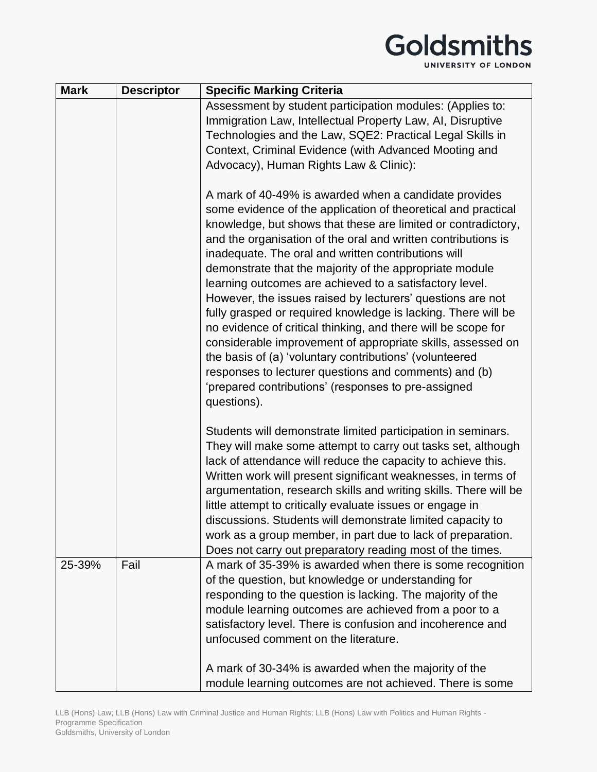UNIVERSITY OF LONDON

| <b>Mark</b> | <b>Descriptor</b> | <b>Specific Marking Criteria</b>                                                                                                                                                                                                                                                                                                                                                                                                                                                                                                                                                                                                                                                                                                                                                                                                                                                               |
|-------------|-------------------|------------------------------------------------------------------------------------------------------------------------------------------------------------------------------------------------------------------------------------------------------------------------------------------------------------------------------------------------------------------------------------------------------------------------------------------------------------------------------------------------------------------------------------------------------------------------------------------------------------------------------------------------------------------------------------------------------------------------------------------------------------------------------------------------------------------------------------------------------------------------------------------------|
|             |                   | Assessment by student participation modules: (Applies to:<br>Immigration Law, Intellectual Property Law, AI, Disruptive<br>Technologies and the Law, SQE2: Practical Legal Skills in<br>Context, Criminal Evidence (with Advanced Mooting and<br>Advocacy), Human Rights Law & Clinic):                                                                                                                                                                                                                                                                                                                                                                                                                                                                                                                                                                                                        |
|             |                   | A mark of 40-49% is awarded when a candidate provides<br>some evidence of the application of theoretical and practical<br>knowledge, but shows that these are limited or contradictory,<br>and the organisation of the oral and written contributions is<br>inadequate. The oral and written contributions will<br>demonstrate that the majority of the appropriate module<br>learning outcomes are achieved to a satisfactory level.<br>However, the issues raised by lecturers' questions are not<br>fully grasped or required knowledge is lacking. There will be<br>no evidence of critical thinking, and there will be scope for<br>considerable improvement of appropriate skills, assessed on<br>the basis of (a) 'voluntary contributions' (volunteered<br>responses to lecturer questions and comments) and (b)<br>'prepared contributions' (responses to pre-assigned<br>questions). |
|             |                   | Students will demonstrate limited participation in seminars.<br>They will make some attempt to carry out tasks set, although<br>lack of attendance will reduce the capacity to achieve this.<br>Written work will present significant weaknesses, in terms of<br>argumentation, research skills and writing skills. There will be<br>little attempt to critically evaluate issues or engage in<br>discussions. Students will demonstrate limited capacity to<br>work as a group member, in part due to lack of preparation.<br>Does not carry out preparatory reading most of the times.                                                                                                                                                                                                                                                                                                       |
| 25-39%      | Fail              | A mark of 35-39% is awarded when there is some recognition<br>of the question, but knowledge or understanding for<br>responding to the question is lacking. The majority of the<br>module learning outcomes are achieved from a poor to a<br>satisfactory level. There is confusion and incoherence and<br>unfocused comment on the literature.                                                                                                                                                                                                                                                                                                                                                                                                                                                                                                                                                |
|             |                   | A mark of 30-34% is awarded when the majority of the<br>module learning outcomes are not achieved. There is some                                                                                                                                                                                                                                                                                                                                                                                                                                                                                                                                                                                                                                                                                                                                                                               |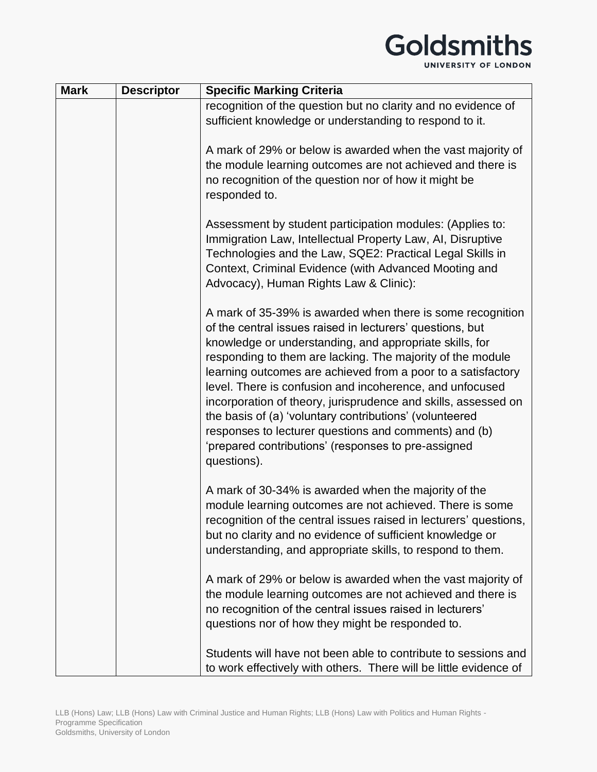| <b>Mark</b> | <b>Descriptor</b> | <b>Specific Marking Criteria</b>                                                                                                                                                                                                                                                                                                                                                                                                                                                                                                                                                                                                         |
|-------------|-------------------|------------------------------------------------------------------------------------------------------------------------------------------------------------------------------------------------------------------------------------------------------------------------------------------------------------------------------------------------------------------------------------------------------------------------------------------------------------------------------------------------------------------------------------------------------------------------------------------------------------------------------------------|
|             |                   | recognition of the question but no clarity and no evidence of                                                                                                                                                                                                                                                                                                                                                                                                                                                                                                                                                                            |
|             |                   | sufficient knowledge or understanding to respond to it.                                                                                                                                                                                                                                                                                                                                                                                                                                                                                                                                                                                  |
|             |                   | A mark of 29% or below is awarded when the vast majority of<br>the module learning outcomes are not achieved and there is<br>no recognition of the question nor of how it might be<br>responded to.                                                                                                                                                                                                                                                                                                                                                                                                                                      |
|             |                   | Assessment by student participation modules: (Applies to:<br>Immigration Law, Intellectual Property Law, AI, Disruptive<br>Technologies and the Law, SQE2: Practical Legal Skills in<br>Context, Criminal Evidence (with Advanced Mooting and<br>Advocacy), Human Rights Law & Clinic):                                                                                                                                                                                                                                                                                                                                                  |
|             |                   | A mark of 35-39% is awarded when there is some recognition<br>of the central issues raised in lecturers' questions, but<br>knowledge or understanding, and appropriate skills, for<br>responding to them are lacking. The majority of the module<br>learning outcomes are achieved from a poor to a satisfactory<br>level. There is confusion and incoherence, and unfocused<br>incorporation of theory, jurisprudence and skills, assessed on<br>the basis of (a) 'voluntary contributions' (volunteered<br>responses to lecturer questions and comments) and (b)<br>'prepared contributions' (responses to pre-assigned<br>questions). |
|             |                   | A mark of 30-34% is awarded when the majority of the<br>module learning outcomes are not achieved. There is some<br>recognition of the central issues raised in lecturers' questions,<br>but no clarity and no evidence of sufficient knowledge or<br>understanding, and appropriate skills, to respond to them.                                                                                                                                                                                                                                                                                                                         |
|             |                   | A mark of 29% or below is awarded when the vast majority of<br>the module learning outcomes are not achieved and there is<br>no recognition of the central issues raised in lecturers'<br>questions nor of how they might be responded to.                                                                                                                                                                                                                                                                                                                                                                                               |
|             |                   | Students will have not been able to contribute to sessions and<br>to work effectively with others. There will be little evidence of                                                                                                                                                                                                                                                                                                                                                                                                                                                                                                      |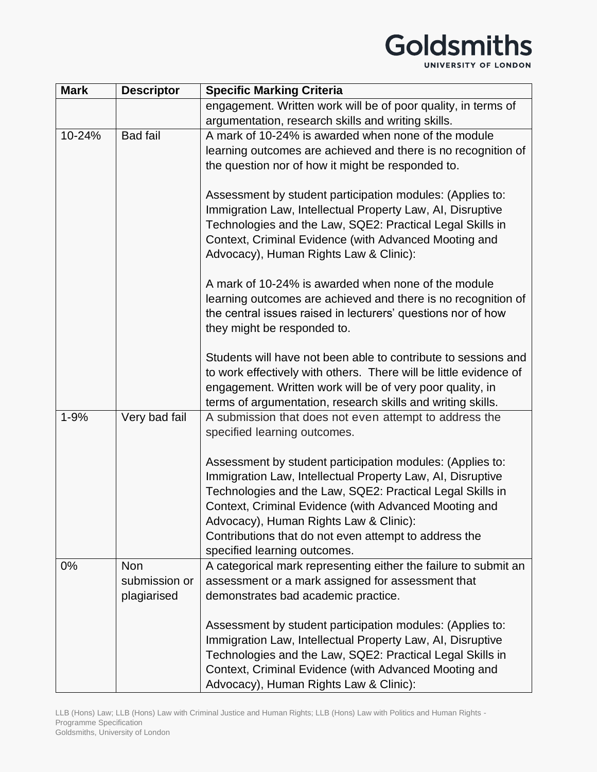| <b>Mark</b> | <b>Descriptor</b>                   | <b>Specific Marking Criteria</b>                                                                                                                                                                                                                                                                                                                 |
|-------------|-------------------------------------|--------------------------------------------------------------------------------------------------------------------------------------------------------------------------------------------------------------------------------------------------------------------------------------------------------------------------------------------------|
|             |                                     | engagement. Written work will be of poor quality, in terms of                                                                                                                                                                                                                                                                                    |
|             |                                     | argumentation, research skills and writing skills.                                                                                                                                                                                                                                                                                               |
| 10-24%      | <b>Bad fail</b>                     | A mark of 10-24% is awarded when none of the module<br>learning outcomes are achieved and there is no recognition of<br>the question nor of how it might be responded to.                                                                                                                                                                        |
|             |                                     | Assessment by student participation modules: (Applies to:<br>Immigration Law, Intellectual Property Law, AI, Disruptive<br>Technologies and the Law, SQE2: Practical Legal Skills in<br>Context, Criminal Evidence (with Advanced Mooting and<br>Advocacy), Human Rights Law & Clinic):                                                          |
|             |                                     | A mark of 10-24% is awarded when none of the module<br>learning outcomes are achieved and there is no recognition of<br>the central issues raised in lecturers' questions nor of how<br>they might be responded to.                                                                                                                              |
|             |                                     | Students will have not been able to contribute to sessions and<br>to work effectively with others. There will be little evidence of<br>engagement. Written work will be of very poor quality, in<br>terms of argumentation, research skills and writing skills.                                                                                  |
| $1 - 9%$    | Very bad fail                       | A submission that does not even attempt to address the<br>specified learning outcomes.                                                                                                                                                                                                                                                           |
|             |                                     | Assessment by student participation modules: (Applies to:<br>Immigration Law, Intellectual Property Law, AI, Disruptive<br>Technologies and the Law, SQE2: Practical Legal Skills in<br>Context, Criminal Evidence (with Advanced Mooting and<br>Advocacy), Human Rights Law & Clinic):<br>Contributions that do not even attempt to address the |
|             |                                     | specified learning outcomes.                                                                                                                                                                                                                                                                                                                     |
| $0\%$       | Non<br>submission or<br>plagiarised | A categorical mark representing either the failure to submit an<br>assessment or a mark assigned for assessment that<br>demonstrates bad academic practice.                                                                                                                                                                                      |
|             |                                     | Assessment by student participation modules: (Applies to:<br>Immigration Law, Intellectual Property Law, AI, Disruptive<br>Technologies and the Law, SQE2: Practical Legal Skills in<br>Context, Criminal Evidence (with Advanced Mooting and<br>Advocacy), Human Rights Law & Clinic):                                                          |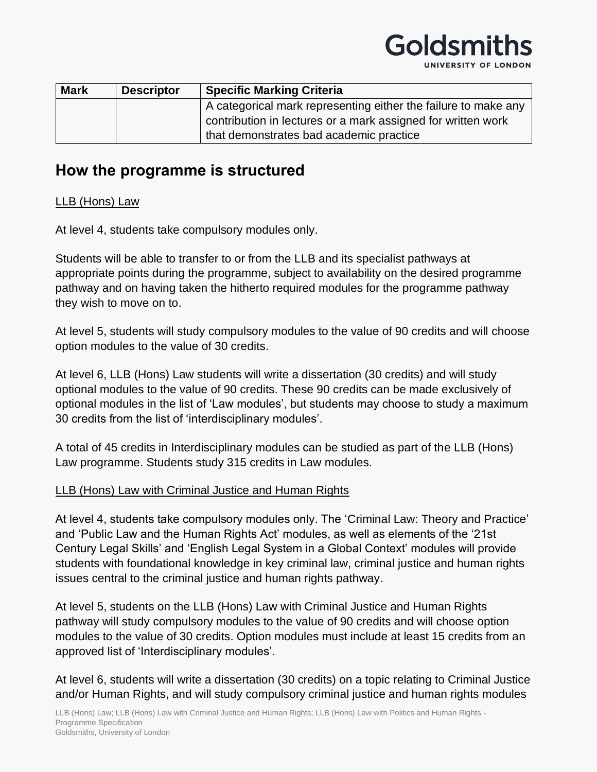# Goldsmitl

UNIVERSITY OF LONDON

| <b>Mark</b> | <b>Descriptor</b> | <b>Specific Marking Criteria</b>                               |
|-------------|-------------------|----------------------------------------------------------------|
|             |                   | A categorical mark representing either the failure to make any |
|             |                   | contribution in lectures or a mark assigned for written work   |
|             |                   | that demonstrates bad academic practice                        |

## **How the programme is structured**

#### LLB (Hons) Law

At level 4, students take compulsory modules only.

Students will be able to transfer to or from the LLB and its specialist pathways at appropriate points during the programme, subject to availability on the desired programme pathway and on having taken the hitherto required modules for the programme pathway they wish to move on to.

At level 5, students will study compulsory modules to the value of 90 credits and will choose option modules to the value of 30 credits.

At level 6, LLB (Hons) Law students will write a dissertation (30 credits) and will study optional modules to the value of 90 credits. These 90 credits can be made exclusively of optional modules in the list of 'Law modules', but students may choose to study a maximum 30 credits from the list of 'interdisciplinary modules'.

A total of 45 credits in Interdisciplinary modules can be studied as part of the LLB (Hons) Law programme. Students study 315 credits in Law modules.

#### LLB (Hons) Law with Criminal Justice and Human Rights

At level 4, students take compulsory modules only. The 'Criminal Law: Theory and Practice' and 'Public Law and the Human Rights Act' modules, as well as elements of the '21st Century Legal Skills' and 'English Legal System in a Global Context' modules will provide students with foundational knowledge in key criminal law, criminal justice and human rights issues central to the criminal justice and human rights pathway.

At level 5, students on the LLB (Hons) Law with Criminal Justice and Human Rights pathway will study compulsory modules to the value of 90 credits and will choose option modules to the value of 30 credits. Option modules must include at least 15 credits from an approved list of 'Interdisciplinary modules'.

At level 6, students will write a dissertation (30 credits) on a topic relating to Criminal Justice and/or Human Rights, and will study compulsory criminal justice and human rights modules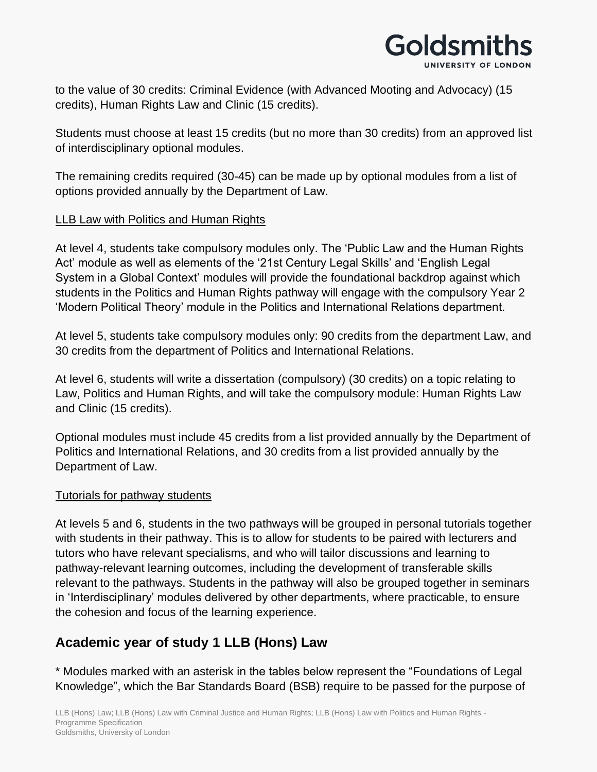

to the value of 30 credits: Criminal Evidence (with Advanced Mooting and Advocacy) (15 credits), Human Rights Law and Clinic (15 credits).

Students must choose at least 15 credits (but no more than 30 credits) from an approved list of interdisciplinary optional modules.

The remaining credits required (30-45) can be made up by optional modules from a list of options provided annually by the Department of Law.

#### LLB Law with Politics and Human Rights

At level 4, students take compulsory modules only. The 'Public Law and the Human Rights Act' module as well as elements of the '21st Century Legal Skills' and 'English Legal System in a Global Context' modules will provide the foundational backdrop against which students in the Politics and Human Rights pathway will engage with the compulsory Year 2 'Modern Political Theory' module in the Politics and International Relations department.

At level 5, students take compulsory modules only: 90 credits from the department Law, and 30 credits from the department of Politics and International Relations.

At level 6, students will write a dissertation (compulsory) (30 credits) on a topic relating to Law, Politics and Human Rights, and will take the compulsory module: Human Rights Law and Clinic (15 credits).

Optional modules must include 45 credits from a list provided annually by the Department of Politics and International Relations, and 30 credits from a list provided annually by the Department of Law.

#### Tutorials for pathway students

At levels 5 and 6, students in the two pathways will be grouped in personal tutorials together with students in their pathway. This is to allow for students to be paired with lecturers and tutors who have relevant specialisms, and who will tailor discussions and learning to pathway-relevant learning outcomes, including the development of transferable skills relevant to the pathways. Students in the pathway will also be grouped together in seminars in 'Interdisciplinary' modules delivered by other departments, where practicable, to ensure the cohesion and focus of the learning experience.

### **Academic year of study 1 LLB (Hons) Law**

\* Modules marked with an asterisk in the tables below represent the "Foundations of Legal Knowledge", which the Bar Standards Board (BSB) require to be passed for the purpose of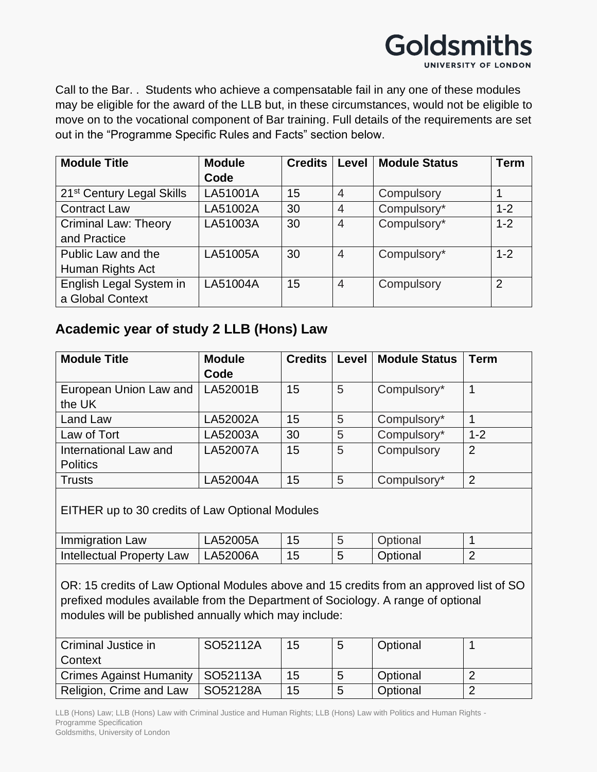

Call to the Bar. . Students who achieve a compensatable fail in any one of these modules may be eligible for the award of the LLB but, in these circumstances, would not be eligible to move on to the vocational component of Bar training. Full details of the requirements are set out in the "Programme Specific Rules and Facts" section below.

| <b>Module Title</b>                   | <b>Module</b> | <b>Credits</b> | Level          | <b>Module Status</b> | Term    |
|---------------------------------------|---------------|----------------|----------------|----------------------|---------|
|                                       | Code          |                |                |                      |         |
| 21 <sup>st</sup> Century Legal Skills | LA51001A      | 15             | $\overline{4}$ | Compulsory           |         |
| <b>Contract Law</b>                   | LA51002A      | 30             | 4              | Compulsory*          | $1 - 2$ |
| <b>Criminal Law: Theory</b>           | LA51003A      | 30             | 4              | Compulsory*          | $1 - 2$ |
| and Practice                          |               |                |                |                      |         |
| Public Law and the                    | LA51005A      | 30             | 4              | Compulsory*          | $1 - 2$ |
| Human Rights Act                      |               |                |                |                      |         |
| English Legal System in               | LA51004A      | 15             | 4              | Compulsory           | 2       |
| a Global Context                      |               |                |                |                      |         |

### **Academic year of study 2 LLB (Hons) Law**

| <b>Module Title</b>                                                                                                                                                                                                                  | <b>Module</b> | <b>Credits</b> | Level | <b>Module Status</b> | <b>Term</b>    |
|--------------------------------------------------------------------------------------------------------------------------------------------------------------------------------------------------------------------------------------|---------------|----------------|-------|----------------------|----------------|
|                                                                                                                                                                                                                                      | Code          |                |       |                      |                |
| European Union Law and                                                                                                                                                                                                               | LA52001B      | 15             | 5     | Compulsory*          | $\mathbf 1$    |
| the UK                                                                                                                                                                                                                               |               |                |       |                      |                |
| Land Law                                                                                                                                                                                                                             | LA52002A      | 15             | 5     | Compulsory*          | $\mathbf{1}$   |
| Law of Tort                                                                                                                                                                                                                          | LA52003A      | 30             | 5     | Compulsory*          | $1 - 2$        |
| International Law and                                                                                                                                                                                                                | LA52007A      | 15             | 5     | Compulsory           | $\overline{2}$ |
| <b>Politics</b>                                                                                                                                                                                                                      |               |                |       |                      |                |
| <b>Trusts</b>                                                                                                                                                                                                                        | LA52004A      | 15             | 5     | Compulsory*          | $\overline{2}$ |
| EITHER up to 30 credits of Law Optional Modules                                                                                                                                                                                      |               |                |       |                      |                |
| Immigration Law                                                                                                                                                                                                                      | LA52005A      | 15             | 5     | Optional             | $\mathbf 1$    |
| Intellectual Property Law                                                                                                                                                                                                            | LA52006A      | 15             | 5     | Optional             | $\overline{2}$ |
| OR: 15 credits of Law Optional Modules above and 15 credits from an approved list of SO<br>prefixed modules available from the Department of Sociology. A range of optional<br>modules will be published annually which may include: |               |                |       |                      |                |
| Criminal Justice in<br>Context                                                                                                                                                                                                       | SO52112A      | 15             | 5     | Optional             | $\mathbf 1$    |
| <b>Crimes Against Humanity</b>                                                                                                                                                                                                       | SO52113A      | 15             | 5     | Optional             | $\overline{2}$ |
| Religion, Crime and Law                                                                                                                                                                                                              | SO52128A      | 15             | 5     | Optional             | $\overline{2}$ |

LLB (Hons) Law; LLB (Hons) Law with Criminal Justice and Human Rights; LLB (Hons) Law with Politics and Human Rights - Programme Specification Goldsmiths, University of London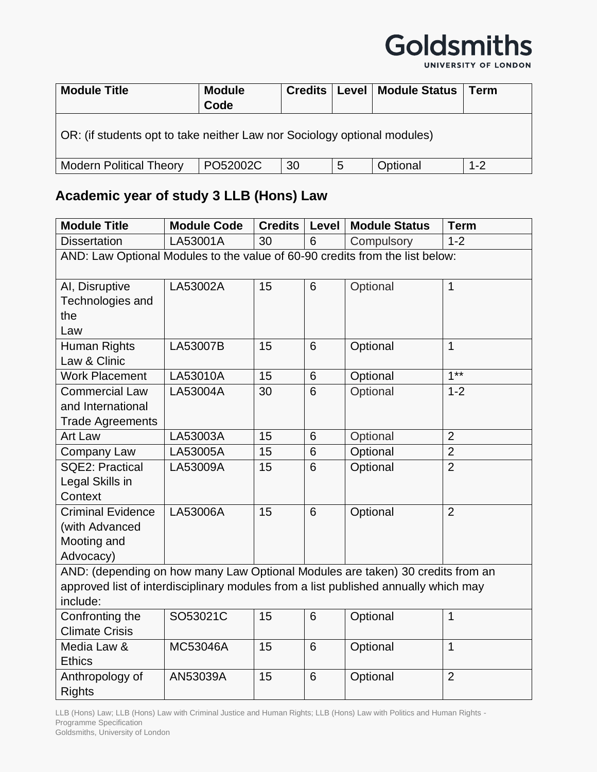

UNIVERSITY OF LONDON

| <b>Module Title</b>                                                      | <b>Module</b><br>Code | <b>Credits</b> |   | Level   Module Status | Term    |  |
|--------------------------------------------------------------------------|-----------------------|----------------|---|-----------------------|---------|--|
| OR: (if students opt to take neither Law nor Sociology optional modules) |                       |                |   |                       |         |  |
| <b>Modern Political Theory</b>                                           | PO52002C              | 30             | 5 | Optional              | $1 - 2$ |  |

## **Academic year of study 3 LLB (Hons) Law**

| <b>Module Title</b>                                                                 | <b>Module Code</b> | <b>Credits</b> | Level | <b>Module Status</b> | <b>Term</b>    |  |  |
|-------------------------------------------------------------------------------------|--------------------|----------------|-------|----------------------|----------------|--|--|
| <b>Dissertation</b>                                                                 | LA53001A           | 30             | 6     | Compulsory           | $1 - 2$        |  |  |
| AND: Law Optional Modules to the value of 60-90 credits from the list below:        |                    |                |       |                      |                |  |  |
| AI, Disruptive                                                                      | LA53002A           | 15             | 6     | Optional             | $\mathbf{1}$   |  |  |
| Technologies and                                                                    |                    |                |       |                      |                |  |  |
| the                                                                                 |                    |                |       |                      |                |  |  |
| Law                                                                                 |                    |                |       |                      |                |  |  |
| Human Rights                                                                        | LA53007B           | 15             | 6     | Optional             | $\mathbf{1}$   |  |  |
| Law & Clinic                                                                        |                    |                |       |                      |                |  |  |
| <b>Work Placement</b>                                                               | LA53010A           | 15             | 6     | Optional             | $1***$         |  |  |
| <b>Commercial Law</b>                                                               | LA53004A           | 30             | 6     | Optional             | $1 - 2$        |  |  |
| and International                                                                   |                    |                |       |                      |                |  |  |
| <b>Trade Agreements</b>                                                             |                    |                |       |                      |                |  |  |
| <b>Art Law</b>                                                                      | LA53003A           | 15             | 6     | Optional             | $\overline{2}$ |  |  |
| Company Law                                                                         | LA53005A           | 15             | 6     | Optional             | $\overline{2}$ |  |  |
| <b>SQE2: Practical</b>                                                              | LA53009A           | 15             | 6     | Optional             | $\overline{2}$ |  |  |
| Legal Skills in                                                                     |                    |                |       |                      |                |  |  |
| Context                                                                             |                    |                |       |                      |                |  |  |
| <b>Criminal Evidence</b>                                                            | LA53006A           | 15             | 6     | Optional             | $\overline{2}$ |  |  |
| (with Advanced                                                                      |                    |                |       |                      |                |  |  |
| Mooting and                                                                         |                    |                |       |                      |                |  |  |
| Advocacy)                                                                           |                    |                |       |                      |                |  |  |
| AND: (depending on how many Law Optional Modules are taken) 30 credits from an      |                    |                |       |                      |                |  |  |
| approved list of interdisciplinary modules from a list published annually which may |                    |                |       |                      |                |  |  |
| include:                                                                            |                    |                |       |                      |                |  |  |
| Confronting the                                                                     | SO53021C           | 15             | 6     | Optional             | $\mathbf{1}$   |  |  |
| <b>Climate Crisis</b>                                                               |                    |                |       |                      |                |  |  |
| Media Law &                                                                         | MC53046A           | 15             | 6     | Optional             | $\mathbf{1}$   |  |  |
| <b>Ethics</b>                                                                       |                    |                |       |                      |                |  |  |
| Anthropology of                                                                     | AN53039A           | 15             | 6     | Optional             | $\overline{2}$ |  |  |
| <b>Rights</b>                                                                       |                    |                |       |                      |                |  |  |

LLB (Hons) Law; LLB (Hons) Law with Criminal Justice and Human Rights; LLB (Hons) Law with Politics and Human Rights - Programme Specification Goldsmiths, University of London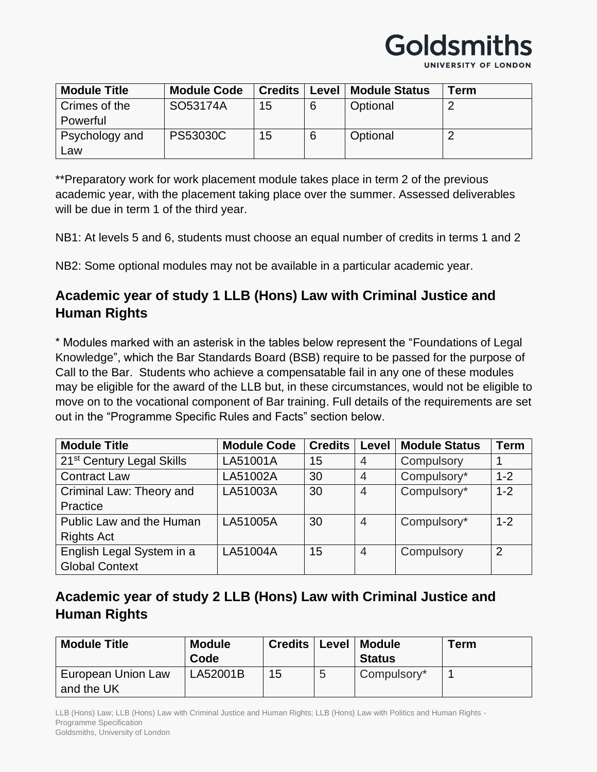

UNIVERSITY OF LONDON

| <b>Module Title</b> | <b>Module Code</b> | <b>Credits</b> | Level | <b>Module Status</b> | Term |
|---------------------|--------------------|----------------|-------|----------------------|------|
| Crimes of the       | SO53174A           | 15             | 6     | Optional             |      |
| Powerful            |                    |                |       |                      |      |
| Psychology and      | <b>PS53030C</b>    | 15             | 6     | Optional             |      |
| Law                 |                    |                |       |                      |      |

\*\*Preparatory work for work placement module takes place in term 2 of the previous academic year, with the placement taking place over the summer. Assessed deliverables will be due in term 1 of the third year.

NB1: At levels 5 and 6, students must choose an equal number of credits in terms 1 and 2

NB2: Some optional modules may not be available in a particular academic year.

### **Academic year of study 1 LLB (Hons) Law with Criminal Justice and Human Rights**

\* Modules marked with an asterisk in the tables below represent the "Foundations of Legal Knowledge", which the Bar Standards Board (BSB) require to be passed for the purpose of Call to the Bar. Students who achieve a compensatable fail in any one of these modules may be eligible for the award of the LLB but, in these circumstances, would not be eligible to move on to the vocational component of Bar training. Full details of the requirements are set out in the "Programme Specific Rules and Facts" section below.

| <b>Module Title</b>                   | <b>Module Code</b> | <b>Credits</b> | Level          | <b>Module Status</b> | <b>Term</b>    |
|---------------------------------------|--------------------|----------------|----------------|----------------------|----------------|
| 21 <sup>st</sup> Century Legal Skills | LA51001A           | 15             | 4              | Compulsory           |                |
| <b>Contract Law</b>                   | LA51002A           | 30             | 4              | Compulsory*          | $1 - 2$        |
| Criminal Law: Theory and              | LA51003A           | 30             | 4              | Compulsory*          | $1 - 2$        |
| Practice                              |                    |                |                |                      |                |
| Public Law and the Human              | LA51005A           | 30             | $\overline{4}$ | Compulsory*          | $1 - 2$        |
| <b>Rights Act</b>                     |                    |                |                |                      |                |
| English Legal System in a             | LA51004A           | 15             | $\overline{4}$ | Compulsory           | $\overline{2}$ |
| <b>Global Context</b>                 |                    |                |                |                      |                |

### **Academic year of study 2 LLB (Hons) Law with Criminal Justice and Human Rights**

| <b>Module Title</b>              | <b>Module</b><br>Code | <b>Credits</b> |   | Level   Module<br><b>Status</b> | Term |
|----------------------------------|-----------------------|----------------|---|---------------------------------|------|
| European Union Law<br>and the UK | LA52001B              | 15             | 5 | Compulsory*                     |      |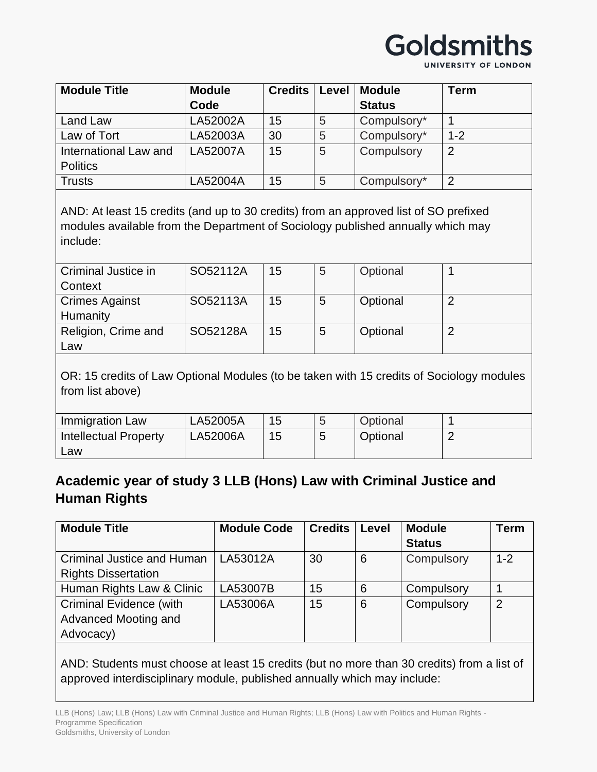UNIVERSITY OF LONDON

| <b>Module Title</b>   | <b>Module</b> | <b>Credits</b> | Level | <b>Module</b> | <b>Term</b>    |
|-----------------------|---------------|----------------|-------|---------------|----------------|
|                       | Code          |                |       | <b>Status</b> |                |
| Land Law              | LA52002A      | 15             | 5     | Compulsory*   |                |
| Law of Tort           | LA52003A      | 30             | 5     | Compulsory*   | $1 - 2$        |
| International Law and | LA52007A      | 15             | 5     | Compulsory    | $\overline{2}$ |
| <b>Politics</b>       |               |                |       |               |                |
| <b>Trusts</b>         | LA52004A      | 15             | 5     | Compulsory*   | $\overline{2}$ |

AND: At least 15 credits (and up to 30 credits) from an approved list of SO prefixed modules available from the Department of Sociology published annually which may include:

| Criminal Justice in   | SO52112A | 15 | 5 | Optional |  |
|-----------------------|----------|----|---|----------|--|
| Context               |          |    |   |          |  |
| <b>Crimes Against</b> | SO52113A | 15 | 5 | Optional |  |
| Humanity              |          |    |   |          |  |
| Religion, Crime and   | SO52128A | 15 | 5 | Optional |  |
| Law                   |          |    |   |          |  |

OR: 15 credits of Law Optional Modules (to be taken with 15 credits of Sociology modules from list above)

| Immigration Law       | LA52005A | 15 | Optional |  |
|-----------------------|----------|----|----------|--|
| Intellectual Property | LA52006A | 15 | Optional |  |
| ∟aw                   |          |    |          |  |

#### **Academic year of study 3 LLB (Hons) Law with Criminal Justice and Human Rights**

| <b>Module Title</b>            | <b>Module Code</b> | <b>Credits</b> | Level | <b>Module</b> | <b>Term</b> |
|--------------------------------|--------------------|----------------|-------|---------------|-------------|
|                                |                    |                |       | <b>Status</b> |             |
| Criminal Justice and Human     | LA53012A           | 30             | 6     | Compulsory    | $1 - 2$     |
| <b>Rights Dissertation</b>     |                    |                |       |               |             |
| Human Rights Law & Clinic      | LA53007B           | 15             | 6     | Compulsory    |             |
| <b>Criminal Evidence (with</b> | LA53006A           | 15             | 6     | Compulsory    | 2           |
| Advanced Mooting and           |                    |                |       |               |             |
| Advocacy)                      |                    |                |       |               |             |

AND: Students must choose at least 15 credits (but no more than 30 credits) from a list of approved interdisciplinary module, published annually which may include: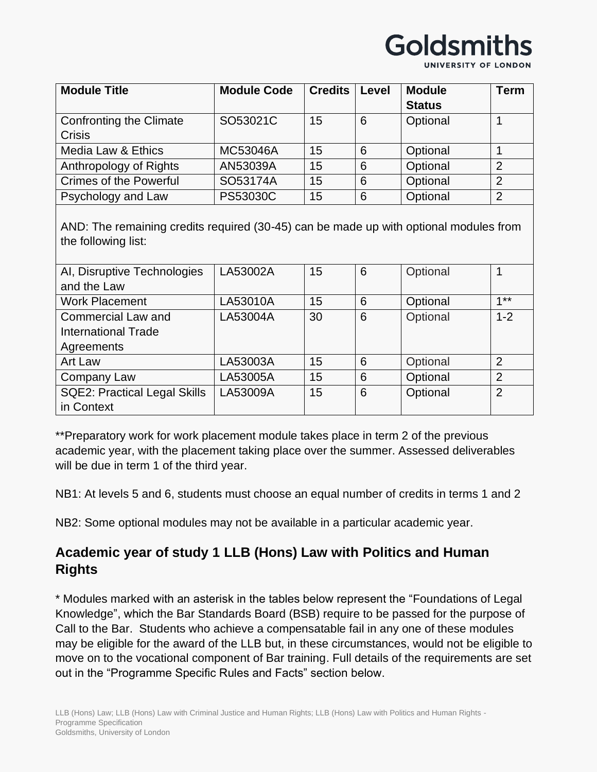UNIVERSITY OF LONDON

| <b>Module Title</b>                      | <b>Module Code</b> | <b>Credits</b> | Level | <b>Module</b><br><b>Status</b> | Term           |
|------------------------------------------|--------------------|----------------|-------|--------------------------------|----------------|
| Confronting the Climate<br><b>Crisis</b> | SO53021C           | 15             | 6     | Optional                       |                |
| Media Law & Ethics                       | MC53046A           | 15             | 6     | Optional                       |                |
| Anthropology of Rights                   | AN53039A           | 15             | 6     | Optional                       | 2              |
| <b>Crimes of the Powerful</b>            | SO53174A           | 15             | 6     | Optional                       | $\overline{2}$ |
| Psychology and Law                       | PS53030C           | 15             | 6     | Optional                       | $\overline{2}$ |

AND: The remaining credits required (30-45) can be made up with optional modules from the following list:

| AI, Disruptive Technologies         | LA53002A | 15 | 6 | Optional |                |
|-------------------------------------|----------|----|---|----------|----------------|
| and the Law                         |          |    |   |          |                |
| <b>Work Placement</b>               | LA53010A | 15 | 6 | Optional | $4**$          |
| <b>Commercial Law and</b>           | LA53004A | 30 | 6 | Optional | $1 - 2$        |
| <b>International Trade</b>          |          |    |   |          |                |
| Agreements                          |          |    |   |          |                |
| Art Law                             | LA53003A | 15 | 6 | Optional | $\overline{2}$ |
| Company Law                         | LA53005A | 15 | 6 | Optional | $\overline{2}$ |
| <b>SQE2: Practical Legal Skills</b> | LA53009A | 15 | 6 | Optional | $\overline{2}$ |
| in Context                          |          |    |   |          |                |

\*\*Preparatory work for work placement module takes place in term 2 of the previous academic year, with the placement taking place over the summer. Assessed deliverables will be due in term 1 of the third year.

NB1: At levels 5 and 6, students must choose an equal number of credits in terms 1 and 2

NB2: Some optional modules may not be available in a particular academic year.

### **Academic year of study 1 LLB (Hons) Law with Politics and Human Rights**

\* Modules marked with an asterisk in the tables below represent the "Foundations of Legal Knowledge", which the Bar Standards Board (BSB) require to be passed for the purpose of Call to the Bar. Students who achieve a compensatable fail in any one of these modules may be eligible for the award of the LLB but, in these circumstances, would not be eligible to move on to the vocational component of Bar training. Full details of the requirements are set out in the "Programme Specific Rules and Facts" section below.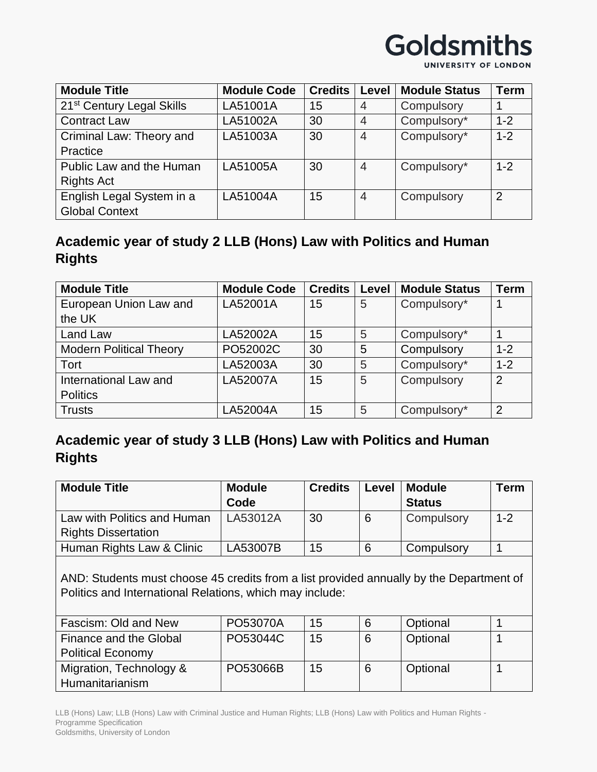UNIVERSITY OF LONDON

| <b>Module Title</b>                   | <b>Module Code</b> | <b>Credits</b> | Level          | <b>Module Status</b> | <b>Term</b>    |
|---------------------------------------|--------------------|----------------|----------------|----------------------|----------------|
| 21 <sup>st</sup> Century Legal Skills | LA51001A           | 15             | $\overline{4}$ | Compulsory           |                |
| <b>Contract Law</b>                   | LA51002A           | 30             | $\overline{4}$ | Compulsory*          | $1 - 2$        |
| Criminal Law: Theory and              | LA51003A           | 30             | $\overline{4}$ | Compulsory*          | $1 - 2$        |
| Practice                              |                    |                |                |                      |                |
| Public Law and the Human              | LA51005A           | 30             | $\overline{4}$ | Compulsory*          | $1 - 2$        |
| <b>Rights Act</b>                     |                    |                |                |                      |                |
| English Legal System in a             | LA51004A           | 15             | $\overline{4}$ | Compulsory           | $\overline{2}$ |
| <b>Global Context</b>                 |                    |                |                |                      |                |

### **Academic year of study 2 LLB (Hons) Law with Politics and Human Rights**

| <b>Module Title</b>            | <b>Module Code</b> | <b>Credits</b> | Level | <b>Module Status</b> | <b>Term</b> |
|--------------------------------|--------------------|----------------|-------|----------------------|-------------|
| European Union Law and         | LA52001A           | 15             | 5     | Compulsory*          |             |
| the UK                         |                    |                |       |                      |             |
| Land Law                       | LA52002A           | 15             | 5     | Compulsory*          |             |
| <b>Modern Political Theory</b> | PO52002C           | 30             | 5     | Compulsory           | $1 - 2$     |
| Tort                           | LA52003A           | 30             | 5     | Compulsory*          | $1 - 2$     |
| International Law and          | LA52007A           | 15             | 5     | Compulsory           | 2           |
| <b>Politics</b>                |                    |                |       |                      |             |
| <b>Trusts</b>                  | LA52004A           | 15             | 5     | Compulsory*          | 2           |

## **Academic year of study 3 LLB (Hons) Law with Politics and Human Rights**

| <b>Module Title</b>         | <b>Module</b> | <b>Credits</b> | Level | <b>Module</b> | <b>Term</b> |
|-----------------------------|---------------|----------------|-------|---------------|-------------|
|                             | Code          |                |       | <b>Status</b> |             |
| Law with Politics and Human | LA53012A      | 30             |       | Compulsory    | $1 - 2$     |
| <b>Rights Dissertation</b>  |               |                |       |               |             |
| Human Rights Law & Clinic   | LA53007B      | 15             |       | Compulsory    |             |

AND: Students must choose 45 credits from a list provided annually by the Department of Politics and International Relations, which may include:

| Fascism: Old and New     | PO53070A | 15 | Optional |  |
|--------------------------|----------|----|----------|--|
| Finance and the Global   | PO53044C | 15 | Optional |  |
| <b>Political Economy</b> |          |    |          |  |
| Migration, Technology &  | PO53066B | 15 | Optional |  |
| Humanitarianism          |          |    |          |  |

LLB (Hons) Law; LLB (Hons) Law with Criminal Justice and Human Rights; LLB (Hons) Law with Politics and Human Rights - Programme Specification Goldsmiths, University of London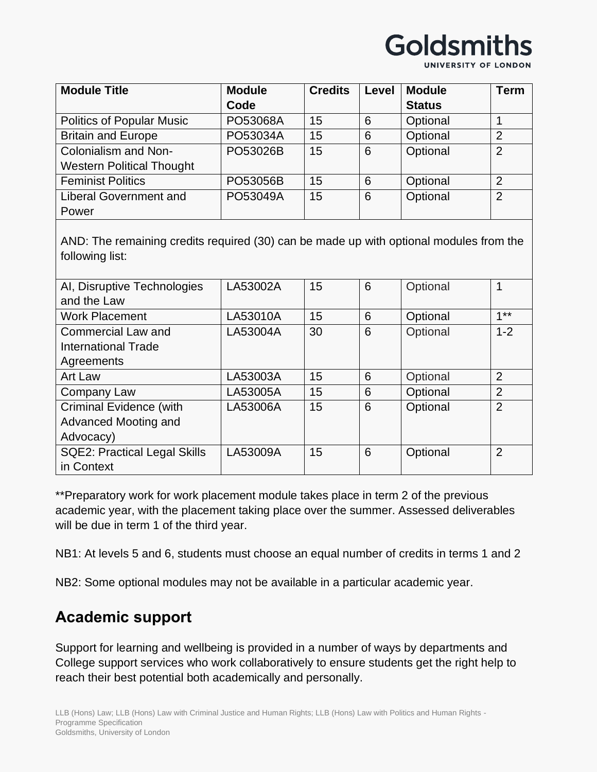UNIVERSITY OF LONDON

| <b>Module Title</b>              | <b>Module</b> | <b>Credits</b> | Level | <b>Module</b> | <b>Term</b>    |
|----------------------------------|---------------|----------------|-------|---------------|----------------|
|                                  | Code          |                |       | <b>Status</b> |                |
| <b>Politics of Popular Music</b> | PO53068A      | 15             | 6     | Optional      |                |
| <b>Britain and Europe</b>        | PO53034A      | 15             | 6     | Optional      | $\overline{2}$ |
| Colonialism and Non-             | PO53026B      | 15             | 6     | Optional      | $\overline{2}$ |
| <b>Western Political Thought</b> |               |                |       |               |                |
| <b>Feminist Politics</b>         | PO53056B      | 15             | 6     | Optional      | $\overline{2}$ |
| <b>Liberal Government and</b>    | PO53049A      | 15             | 6     | Optional      | $\overline{2}$ |
| Power                            |               |                |       |               |                |

AND: The remaining credits required (30) can be made up with optional modules from the following list:

| AI, Disruptive Technologies         | LA53002A | 15 | 6 | Optional | 1              |
|-------------------------------------|----------|----|---|----------|----------------|
| and the Law                         |          |    |   |          |                |
| <b>Work Placement</b>               | LA53010A | 15 | 6 | Optional | $4 * *$        |
| <b>Commercial Law and</b>           | LA53004A | 30 | 6 | Optional | $1 - 2$        |
| <b>International Trade</b>          |          |    |   |          |                |
| Agreements                          |          |    |   |          |                |
| Art Law                             | LA53003A | 15 | 6 | Optional | $\overline{2}$ |
| Company Law                         | LA53005A | 15 | 6 | Optional | $\overline{2}$ |
| <b>Criminal Evidence (with</b>      | LA53006A | 15 | 6 | Optional | $\overline{2}$ |
| Advanced Mooting and                |          |    |   |          |                |
| Advocacy)                           |          |    |   |          |                |
| <b>SQE2: Practical Legal Skills</b> | LA53009A | 15 | 6 | Optional | $\overline{2}$ |
| in Context                          |          |    |   |          |                |

\*\*Preparatory work for work placement module takes place in term 2 of the previous academic year, with the placement taking place over the summer. Assessed deliverables will be due in term 1 of the third year.

NB1: At levels 5 and 6, students must choose an equal number of credits in terms 1 and 2

NB2: Some optional modules may not be available in a particular academic year.

## **Academic support**

Support for learning and wellbeing is provided in a number of ways by departments and College support services who work collaboratively to ensure students get the right help to reach their best potential both academically and personally.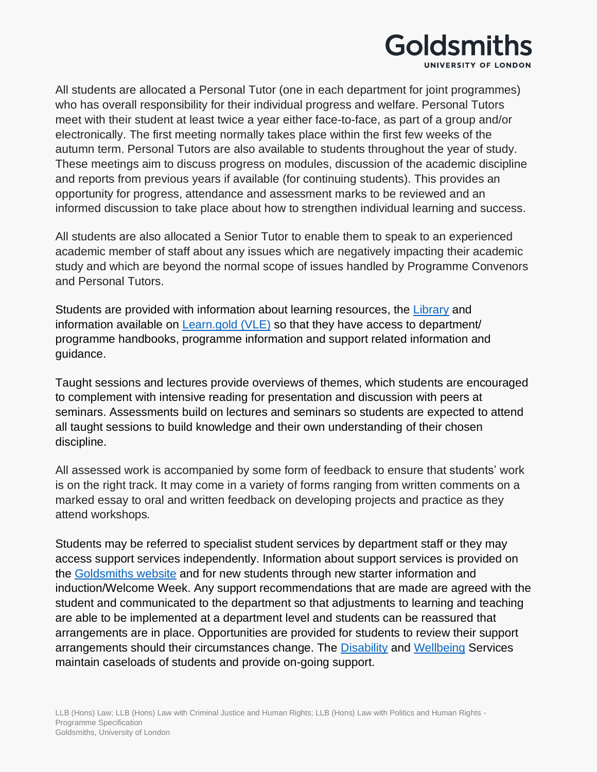

All students are allocated a Personal Tutor (one in each department for joint programmes) who has overall responsibility for their individual progress and welfare. Personal Tutors meet with their student at least twice a year either face-to-face, as part of a group and/or electronically. The first meeting normally takes place within the first few weeks of the autumn term. Personal Tutors are also available to students throughout the year of study. These meetings aim to discuss progress on modules, discussion of the academic discipline and reports from previous years if available (for continuing students). This provides an opportunity for progress, attendance and assessment marks to be reviewed and an informed discussion to take place about how to strengthen individual learning and success.

All students are also allocated a Senior Tutor to enable them to speak to an experienced academic member of staff about any issues which are negatively impacting their academic study and which are beyond the normal scope of issues handled by Programme Convenors and Personal Tutors.

Students are provided with information about learning resources, the [Library](https://www.gold.ac.uk/library/) and information available on [Learn.gold \(VLE\)](https://learn.gold.ac.uk/) so that they have access to department/ programme handbooks, programme information and support related information and guidance.

Taught sessions and lectures provide overviews of themes, which students are encouraged to complement with intensive reading for presentation and discussion with peers at seminars. Assessments build on lectures and seminars so students are expected to attend all taught sessions to build knowledge and their own understanding of their chosen discipline.

All assessed work is accompanied by some form of feedback to ensure that students' work is on the right track. It may come in a variety of forms ranging from written comments on a marked essay to oral and written feedback on developing projects and practice as they attend workshops*.*

Students may be referred to specialist student services by department staff or they may access support services independently. Information about support services is provided on the [Goldsmiths website](https://www.gold.ac.uk/students/) and for new students through new starter information and induction/Welcome Week. Any support recommendations that are made are agreed with the student and communicated to the department so that adjustments to learning and teaching are able to be implemented at a department level and students can be reassured that arrangements are in place. Opportunities are provided for students to review their support arrangements should their circumstances change. The [Disability](https://www.gold.ac.uk/students/disability-support/) and [Wellbeing](https://www.gold.ac.uk/students/wellbeing/) Services maintain caseloads of students and provide on-going support.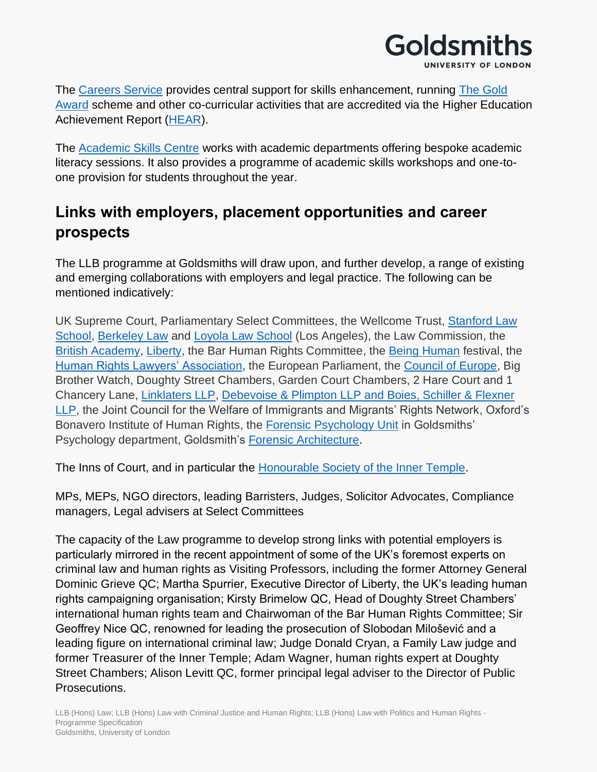

The [Careers Service](https://www.gold.ac.uk/careers/) provides central support for skills enhancement, running [The Gold](https://www.gold.ac.uk/students/gold-award/)  [Award](https://www.gold.ac.uk/students/gold-award/) scheme and other co-curricular activities that are accredited via the Higher Education Achievement Report [\(HEAR\)](https://www.gold.ac.uk/hear/).

The [Academic Skills Centre](https://www.gold.ac.uk/asc/) works with academic departments offering bespoke academic literacy sessions. It also provides a programme of academic skills workshops and one-toone provision for students throughout the year.

# **Links with employers, placement opportunities and career prospects**

The LLB programme at Goldsmiths will draw upon, and further develop, a range of existing and emerging collaborations with employers and legal practice. The following can be mentioned indicatively:

UK Supreme Court, Parliamentary Select Committees, the Wellcome Trust, [Stanford Law](https://sites.gold.ac.uk/law/us-policy-on-violent-crimes-a-cautionary-tale-for-the-uk/)  [School,](https://sites.gold.ac.uk/law/us-policy-on-violent-crimes-a-cautionary-tale-for-the-uk/) [Berkeley Law](https://www.youtube.com/watch?v=MZEFvoBH5YI) and [Loyola Law School](https://www.youtube.com/watch?time_continue=688&v=y02ukWXvSjc&feature=emb_logo) (Los Angeles), the Law Commission, the [British Academy,](https://sites.gold.ac.uk/law/photo-story-from-our-symposium-at-the-british-academy-the-echrs-impact-in-the-uk/) [Liberty,](https://www.gold.ac.uk/calendar/?id=13151) the Bar Human Rights Committee, the [Being Human](https://www.gold.ac.uk/calendar/?id=12871) festival, the [Human Rights Lawyers' Association,](https://www.gold.ac.uk/calendar/?id=12839) the European Parliament, the [Council of Europe,](https://sites.gold.ac.uk/law/inaugurating-goldsmiths-laws-european-encounters-the-council-of-europe-and-artificial-intelligence/) Big Brother Watch, Doughty Street Chambers, Garden Court Chambers, 2 Hare Court and 1 Chancery Lane, [Linklaters LLP,](https://sites.gold.ac.uk/law/llb-students-visit-linklaters-llps-headquarters-in-the-city/) [Debevoise & Plimpton LLP and Boies, Schiller & Flexner](https://sites.gold.ac.uk/law/llb-law-students-to-visit-premier-global-and-magic-circle-firms-and-facebooks-legal-department-in-london/)  [LLP,](https://sites.gold.ac.uk/law/llb-law-students-to-visit-premier-global-and-magic-circle-firms-and-facebooks-legal-department-in-london/) the Joint Council for the Welfare of Immigrants and Migrants' Rights Network, Oxford's Bonavero Institute of Human Rights, the [Forensic Psychology Unit](https://sites.gold.ac.uk/law/exploring-the-interactions-between-psychology-and-the-law/) in Goldsmiths' Psychology department, Goldsmith's [Forensic Architecture.](https://sites.gold.ac.uk/law/goldsmiths-law-collaboration-with-pioneering-forensic-architecture-agency/)

The Inns of Court, and in particular the [Honourable Society of the Inner Temple.](https://sites.gold.ac.uk/law/law-programme-works-closely-with-the-bar-to-improve-access-to-information-advice-and-guidance/)

MPs, MEPs, NGO directors, leading Barristers, Judges, Solicitor Advocates, Compliance managers, Legal advisers at Select Committees

The capacity of the Law programme to develop strong links with potential employers is particularly mirrored in the recent appointment of some of the UK's foremost experts on criminal law and human rights as Visiting Professors, including the former Attorney General Dominic Grieve QC; Martha Spurrier, Executive Director of Liberty, the UK's leading human rights campaigning organisation; Kirsty Brimelow QC, Head of Doughty Street Chambers' international human rights team and Chairwoman of the Bar Human Rights Committee; Sir Geoffrey Nice QC, renowned for leading the prosecution of Slobodan Milošević and a leading figure on international criminal law; Judge Donald Cryan, a Family Law judge and former Treasurer of the Inner Temple; Adam Wagner, human rights expert at Doughty Street Chambers; Alison Levitt QC, former principal legal adviser to the Director of Public Prosecutions.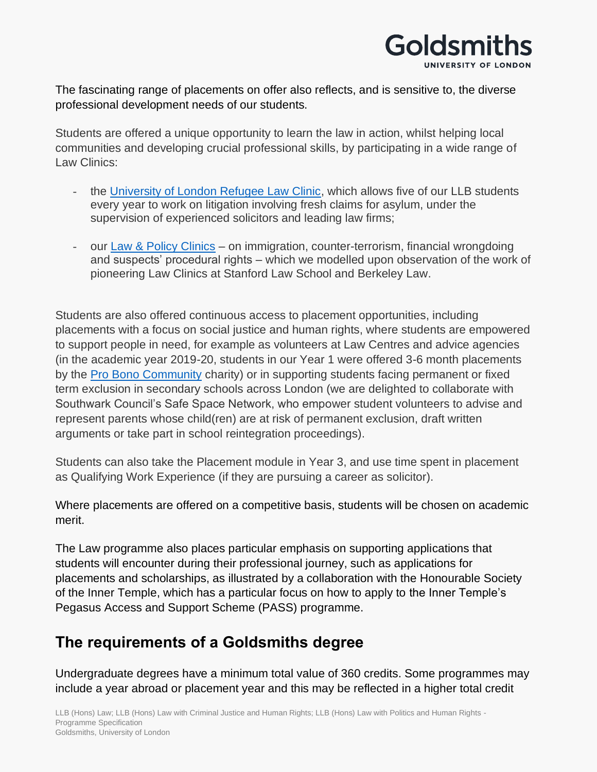

The fascinating range of placements on offer also reflects, and is sensitive to, the diverse professional development needs of our students.

Students are offered a unique opportunity to learn the law in action, whilst helping local communities and developing crucial professional skills, by participating in a wide range of Law Clinics:

- the [University of London Refugee Law Clinic,](https://sites.gold.ac.uk/law/goldsmiths-law-partners-up-with-new-refugee-law-clinic-at-the-university-of-london/) which allows five of our LLB students every year to work on litigation involving fresh claims for asylum, under the supervision of experienced solicitors and leading law firms;
- our [Law & Policy Clinics](https://www.gold.ac.uk/law/law-clinics/) on immigration, counter-terrorism, financial wrongdoing and suspects' procedural rights – which we modelled upon observation of the work of pioneering Law Clinics at Stanford Law School and Berkeley Law.

Students are also offered continuous access to placement opportunities, including placements with a focus on social justice and human rights, where students are empowered to support people in need, for example as volunteers at Law Centres and advice agencies (in the academic year 2019-20, students in our Year 1 were offered 3-6 month placements by the [Pro Bono Community](https://www.probonocommunity.org.uk/) charity) or in supporting students facing permanent or fixed term exclusion in secondary schools across London (we are delighted to collaborate with Southwark Council's Safe Space Network, who empower student volunteers to advise and represent parents whose child(ren) are at risk of permanent exclusion, draft written arguments or take part in school reintegration proceedings).

Students can also take the Placement module in Year 3, and use time spent in placement as Qualifying Work Experience (if they are pursuing a career as solicitor).

Where placements are offered on a competitive basis, students will be chosen on academic merit.

The Law programme also places particular emphasis on supporting applications that students will encounter during their professional journey, such as applications for placements and scholarships, as illustrated by a collaboration with the Honourable Society of the Inner Temple, which has a particular focus on how to apply to the Inner Temple's Pegasus Access and Support Scheme (PASS) programme.

# **The requirements of a Goldsmiths degree**

Undergraduate degrees have a minimum total value of 360 credits. Some programmes may include a year abroad or placement year and this may be reflected in a higher total credit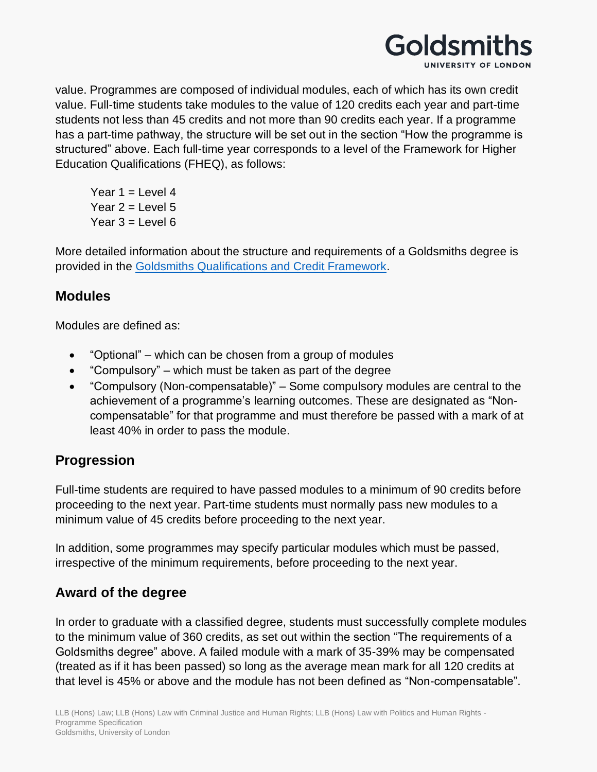

value. Programmes are composed of individual modules, each of which has its own credit value. Full-time students take modules to the value of 120 credits each year and part-time students not less than 45 credits and not more than 90 credits each year. If a programme has a part-time pathway, the structure will be set out in the section "How the programme is structured" above. Each full-time year corresponds to a level of the Framework for Higher Education Qualifications (FHEQ), as follows:

Year  $1 =$  Level 4 Year  $2 =$  Level 5 Year  $3 =$  Level  $6$ 

More detailed information about the structure and requirements of a Goldsmiths degree is provided in the [Goldsmiths Qualifications and Credit Framework.](https://www.gold.ac.uk/media/docs/gam/Qualifications-and-Credit-Framework.pdf)

#### **Modules**

Modules are defined as:

- "Optional" which can be chosen from a group of modules
- "Compulsory" which must be taken as part of the degree
- "Compulsory (Non-compensatable)" Some compulsory modules are central to the achievement of a programme's learning outcomes. These are designated as "Noncompensatable" for that programme and must therefore be passed with a mark of at least 40% in order to pass the module.

### **Progression**

Full-time students are required to have passed modules to a minimum of 90 credits before proceeding to the next year. Part-time students must normally pass new modules to a minimum value of 45 credits before proceeding to the next year.

In addition, some programmes may specify particular modules which must be passed, irrespective of the minimum requirements, before proceeding to the next year.

### **Award of the degree**

In order to graduate with a classified degree, students must successfully complete modules to the minimum value of 360 credits, as set out within the section "The requirements of a Goldsmiths degree" above. A failed module with a mark of 35-39% may be compensated (treated as if it has been passed) so long as the average mean mark for all 120 credits at that level is 45% or above and the module has not been defined as "Non-compensatable".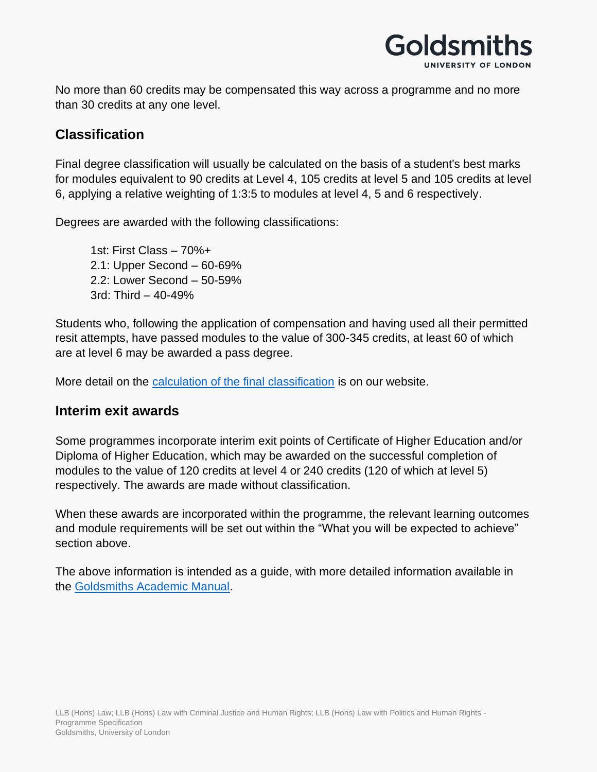

No more than 60 credits may be compensated this way across a programme and no more than 30 credits at any one level.

#### **Classification**

Final degree classification will usually be calculated on the basis of a student's best marks for modules equivalent to 90 credits at Level 4, 105 credits at level 5 and 105 credits at level 6, applying a relative weighting of 1:3:5 to modules at level 4, 5 and 6 respectively.

Degrees are awarded with the following classifications:

1st: First Class – 70%+ 2.1: Upper Second – 60-69% 2.2: Lower Second – 50-59% 3rd: Third – 40-49%

Students who, following the application of compensation and having used all their permitted resit attempts, have passed modules to the value of 300-345 credits, at least 60 of which are at level 6 may be awarded a pass degree.

More detail on the [calculation of the final classification](https://www.gold.ac.uk/students/assessments/undergraduate-final-result-calculation/) is on our website.

#### **Interim exit awards**

Some programmes incorporate interim exit points of Certificate of Higher Education and/or Diploma of Higher Education, which may be awarded on the successful completion of modules to the value of 120 credits at level 4 or 240 credits (120 of which at level 5) respectively. The awards are made without classification.

When these awards are incorporated within the programme, the relevant learning outcomes and module requirements will be set out within the "What you will be expected to achieve" section above.

The above information is intended as a guide, with more detailed information available in the [Goldsmiths Academic Manual.](https://www.gold.ac.uk/gam/)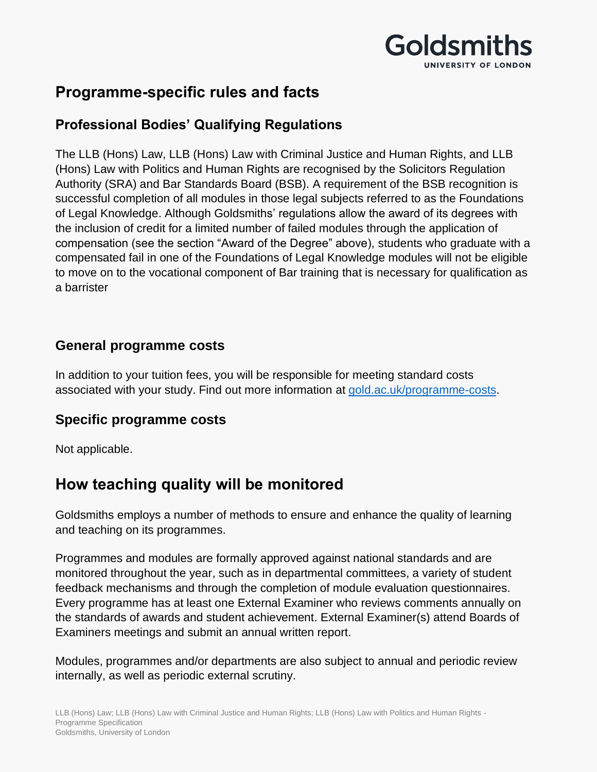

# **Programme-specific rules and facts**

### **Professional Bodies' Qualifying Regulations**

The LLB (Hons) Law, LLB (Hons) Law with Criminal Justice and Human Rights, and LLB (Hons) Law with Politics and Human Rights are recognised by the Solicitors Regulation Authority (SRA) and Bar Standards Board (BSB). A requirement of the BSB recognition is successful completion of all modules in those legal subjects referred to as the Foundations of Legal Knowledge. Although Goldsmiths' regulations allow the award of its degrees with the inclusion of credit for a limited number of failed modules through the application of compensation (see the section "Award of the Degree" above), students who graduate with a compensated fail in one of the Foundations of Legal Knowledge modules will not be eligible to move on to the vocational component of Bar training that is necessary for qualification as a barrister

#### **General programme costs**

In addition to your tuition fees, you will be responsible for meeting standard costs associated with your study. Find out more information at [gold.ac.uk/programme-costs.](https://www.gold.ac.uk/programme-costs)

#### **Specific programme costs**

Not applicable.

## **How teaching quality will be monitored**

Goldsmiths employs a number of methods to ensure and enhance the quality of learning and teaching on its programmes.

Programmes and modules are formally approved against national standards and are monitored throughout the year, such as in departmental committees, a variety of student feedback mechanisms and through the completion of module evaluation questionnaires. Every programme has at least one External Examiner who reviews comments annually on the standards of awards and student achievement. External Examiner(s) attend Boards of Examiners meetings and submit an annual written report.

Modules, programmes and/or departments are also subject to annual and periodic review internally, as well as periodic external scrutiny.